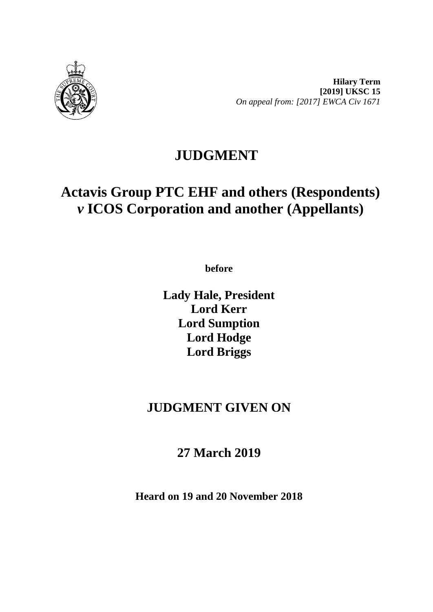

**Hilary Term [2019] UKSC 15** *On appeal from: [2017] EWCA Civ 1671*

# **JUDGMENT**

# **Actavis Group PTC EHF and others (Respondents)**  *v* **ICOS Corporation and another (Appellants)**

**before** 

**Lady Hale, President Lord Kerr Lord Sumption Lord Hodge Lord Briggs**

# **JUDGMENT GIVEN ON**

**27 March 2019**

**Heard on 19 and 20 November 2018**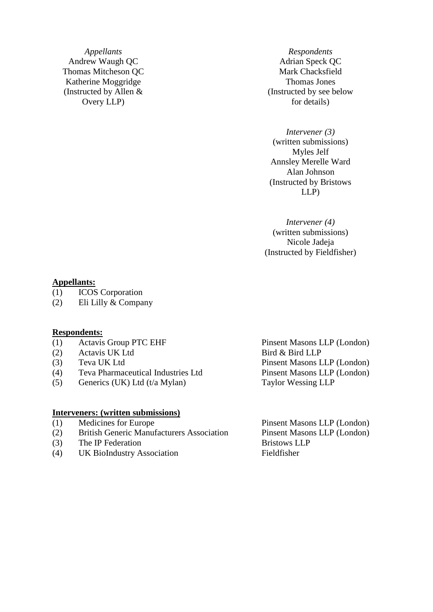*Appellants Respondents* Andrew Waugh QC Adrian Speck QC Thomas Mitcheson QC Mark Chacksfield Katherine Moggridge Thomas Jones (Instructed by Allen & Overy LLP)

(Instructed by see below for details)

*Intervener (3)* (written submissions) Myles Jelf Annsley Merelle Ward Alan Johnson (Instructed by Bristows LLP)

*Intervener (4)* (written submissions) Nicole Jadeja (Instructed by Fieldfisher)

#### **Appellants:**

- (1) ICOS Corporation
- (2) Eli Lilly & Company

#### **Respondents:**

- (1) Actavis Group PTC EHF Pinsent Masons LLP (London)
- (2) Actavis UK Ltd Bird & Bird LLP
- 
- (4) Teva Pharmaceutical Industries Ltd Pinsent Masons LLP (London)
- (5) Generics (UK) Ltd (t/a Mylan) Taylor Wessing LLP

#### **Interveners: (written submissions)**

- 
- (2) British Generic Manufacturers Association Pinsent Masons LLP (London)
- (3) The IP Federation Bristows LLP
- (4) UK BioIndustry Association Fieldfisher

(3) Teva UK Ltd Pinsent Masons LLP (London)

(1) Medicines for Europe Pinsent Masons LLP (London)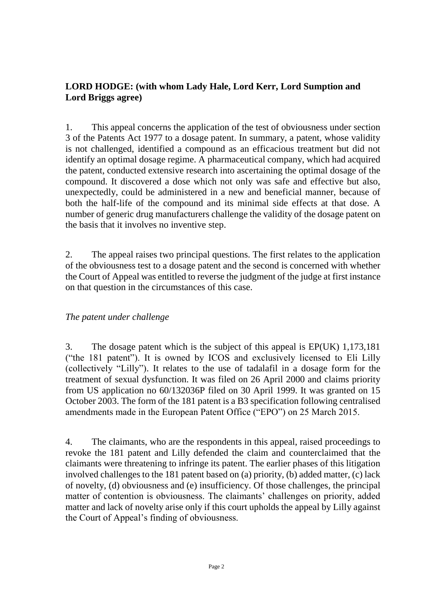# **LORD HODGE: (with whom Lady Hale, Lord Kerr, Lord Sumption and Lord Briggs agree)**

1. This appeal concerns the application of the test of obviousness under section 3 of the Patents Act 1977 to a dosage patent. In summary, a patent, whose validity is not challenged, identified a compound as an efficacious treatment but did not identify an optimal dosage regime. A pharmaceutical company, which had acquired the patent, conducted extensive research into ascertaining the optimal dosage of the compound. It discovered a dose which not only was safe and effective but also, unexpectedly, could be administered in a new and beneficial manner, because of both the half-life of the compound and its minimal side effects at that dose. A number of generic drug manufacturers challenge the validity of the dosage patent on the basis that it involves no inventive step.

2. The appeal raises two principal questions. The first relates to the application of the obviousness test to a dosage patent and the second is concerned with whether the Court of Appeal was entitled to reverse the judgment of the judge at first instance on that question in the circumstances of this case.

# *The patent under challenge*

3. The dosage patent which is the subject of this appeal is EP(UK) 1,173,181 ("the 181 patent"). It is owned by ICOS and exclusively licensed to Eli Lilly (collectively "Lilly"). It relates to the use of tadalafil in a dosage form for the treatment of sexual dysfunction. It was filed on 26 April 2000 and claims priority from US application no 60/132036P filed on 30 April 1999. It was granted on 15 October 2003. The form of the 181 patent is a B3 specification following centralised amendments made in the European Patent Office ("EPO") on 25 March 2015.

4. The claimants, who are the respondents in this appeal, raised proceedings to revoke the 181 patent and Lilly defended the claim and counterclaimed that the claimants were threatening to infringe its patent. The earlier phases of this litigation involved challenges to the 181 patent based on (a) priority, (b) added matter, (c) lack of novelty, (d) obviousness and (e) insufficiency. Of those challenges, the principal matter of contention is obviousness. The claimants' challenges on priority, added matter and lack of novelty arise only if this court upholds the appeal by Lilly against the Court of Appeal's finding of obviousness.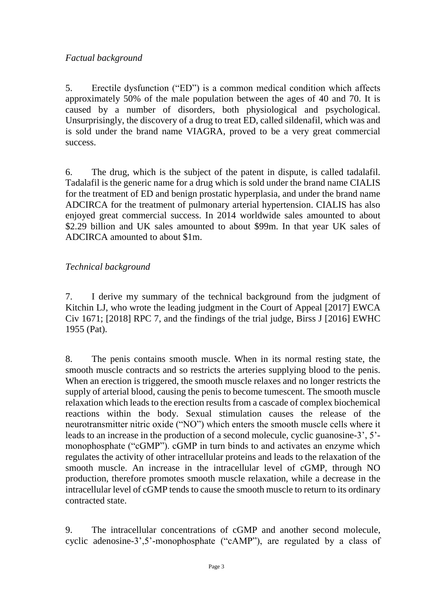# *Factual background*

5. Erectile dysfunction ("ED") is a common medical condition which affects approximately 50% of the male population between the ages of 40 and 70. It is caused by a number of disorders, both physiological and psychological. Unsurprisingly, the discovery of a drug to treat ED, called sildenafil, which was and is sold under the brand name VIAGRA, proved to be a very great commercial success.

6. The drug, which is the subject of the patent in dispute, is called tadalafil. Tadalafil is the generic name for a drug which is sold under the brand name CIALIS for the treatment of ED and benign prostatic hyperplasia, and under the brand name ADCIRCA for the treatment of pulmonary arterial hypertension. CIALIS has also enjoyed great commercial success. In 2014 worldwide sales amounted to about \$2.29 billion and UK sales amounted to about \$99m. In that year UK sales of ADCIRCA amounted to about \$1m.

# *Technical background*

7. I derive my summary of the technical background from the judgment of Kitchin LJ, who wrote the leading judgment in the Court of Appeal [2017] EWCA Civ 1671; [2018] RPC 7, and the findings of the trial judge, Birss J [2016] EWHC 1955 (Pat).

8. The penis contains smooth muscle. When in its normal resting state, the smooth muscle contracts and so restricts the arteries supplying blood to the penis. When an erection is triggered, the smooth muscle relaxes and no longer restricts the supply of arterial blood, causing the penis to become tumescent. The smooth muscle relaxation which leads to the erection results from a cascade of complex biochemical reactions within the body. Sexual stimulation causes the release of the neurotransmitter nitric oxide ("NO") which enters the smooth muscle cells where it leads to an increase in the production of a second molecule, cyclic guanosine-3', 5' monophosphate ("cGMP"). cGMP in turn binds to and activates an enzyme which regulates the activity of other intracellular proteins and leads to the relaxation of the smooth muscle. An increase in the intracellular level of cGMP, through NO production, therefore promotes smooth muscle relaxation, while a decrease in the intracellular level of cGMP tends to cause the smooth muscle to return to its ordinary contracted state.

9. The intracellular concentrations of cGMP and another second molecule, cyclic adenosine-3',5'-monophosphate ("cAMP"), are regulated by a class of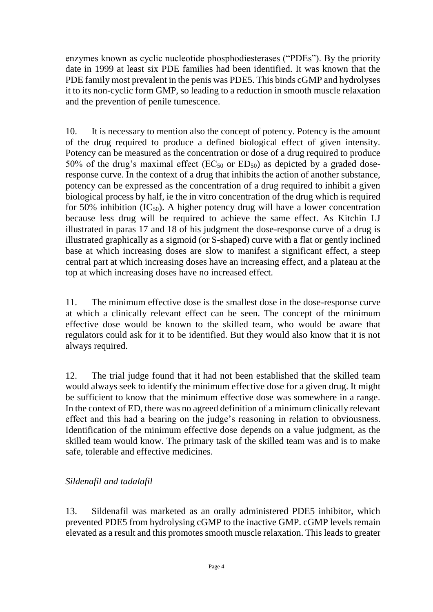enzymes known as cyclic nucleotide phosphodiesterases ("PDEs"). By the priority date in 1999 at least six PDE families had been identified. It was known that the PDE family most prevalent in the penis was PDE5. This binds cGMP and hydrolyses it to its non-cyclic form GMP, so leading to a reduction in smooth muscle relaxation and the prevention of penile tumescence.

10. It is necessary to mention also the concept of potency. Potency is the amount of the drug required to produce a defined biological effect of given intensity. Potency can be measured as the concentration or dose of a drug required to produce 50% of the drug's maximal effect ( $EC_{50}$  or  $ED_{50}$ ) as depicted by a graded doseresponse curve. In the context of a drug that inhibits the action of another substance, potency can be expressed as the concentration of a drug required to inhibit a given biological process by half, ie the in vitro concentration of the drug which is required for 50% inhibition  $(IC_{50})$ . A higher potency drug will have a lower concentration because less drug will be required to achieve the same effect. As Kitchin LJ illustrated in paras 17 and 18 of his judgment the dose-response curve of a drug is illustrated graphically as a sigmoid (or S-shaped) curve with a flat or gently inclined base at which increasing doses are slow to manifest a significant effect, a steep central part at which increasing doses have an increasing effect, and a plateau at the top at which increasing doses have no increased effect.

11. The minimum effective dose is the smallest dose in the dose-response curve at which a clinically relevant effect can be seen. The concept of the minimum effective dose would be known to the skilled team, who would be aware that regulators could ask for it to be identified. But they would also know that it is not always required.

12. The trial judge found that it had not been established that the skilled team would always seek to identify the minimum effective dose for a given drug. It might be sufficient to know that the minimum effective dose was somewhere in a range. In the context of ED, there was no agreed definition of a minimum clinically relevant effect and this had a bearing on the judge's reasoning in relation to obviousness. Identification of the minimum effective dose depends on a value judgment, as the skilled team would know. The primary task of the skilled team was and is to make safe, tolerable and effective medicines.

# *Sildenafil and tadalafil*

13. Sildenafil was marketed as an orally administered PDE5 inhibitor, which prevented PDE5 from hydrolysing cGMP to the inactive GMP. cGMP levels remain elevated as a result and this promotes smooth muscle relaxation. This leads to greater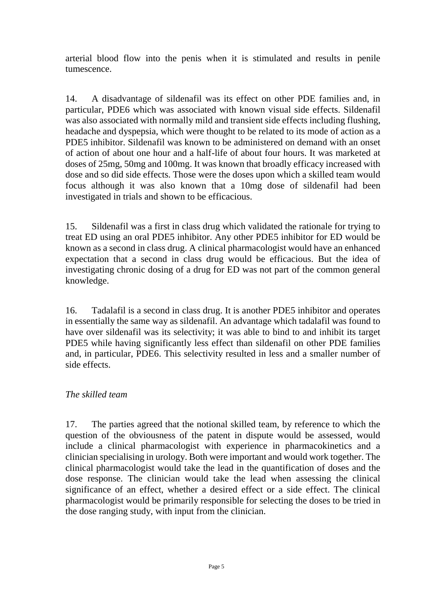arterial blood flow into the penis when it is stimulated and results in penile tumescence.

14. A disadvantage of sildenafil was its effect on other PDE families and, in particular, PDE6 which was associated with known visual side effects. Sildenafil was also associated with normally mild and transient side effects including flushing, headache and dyspepsia, which were thought to be related to its mode of action as a PDE5 inhibitor. Sildenafil was known to be administered on demand with an onset of action of about one hour and a half-life of about four hours. It was marketed at doses of 25mg, 50mg and 100mg. It was known that broadly efficacy increased with dose and so did side effects. Those were the doses upon which a skilled team would focus although it was also known that a 10mg dose of sildenafil had been investigated in trials and shown to be efficacious.

15. Sildenafil was a first in class drug which validated the rationale for trying to treat ED using an oral PDE5 inhibitor. Any other PDE5 inhibitor for ED would be known as a second in class drug. A clinical pharmacologist would have an enhanced expectation that a second in class drug would be efficacious. But the idea of investigating chronic dosing of a drug for ED was not part of the common general knowledge.

16. Tadalafil is a second in class drug. It is another PDE5 inhibitor and operates in essentially the same way as sildenafil. An advantage which tadalafil was found to have over sildenafil was its selectivity; it was able to bind to and inhibit its target PDE5 while having significantly less effect than sildenafil on other PDE families and, in particular, PDE6. This selectivity resulted in less and a smaller number of side effects.

# *The skilled team*

17. The parties agreed that the notional skilled team, by reference to which the question of the obviousness of the patent in dispute would be assessed, would include a clinical pharmacologist with experience in pharmacokinetics and a clinician specialising in urology. Both were important and would work together. The clinical pharmacologist would take the lead in the quantification of doses and the dose response. The clinician would take the lead when assessing the clinical significance of an effect, whether a desired effect or a side effect. The clinical pharmacologist would be primarily responsible for selecting the doses to be tried in the dose ranging study, with input from the clinician.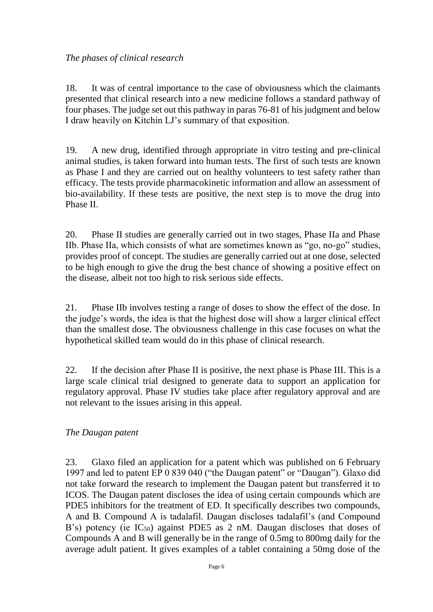## *The phases of clinical research*

18. It was of central importance to the case of obviousness which the claimants presented that clinical research into a new medicine follows a standard pathway of four phases. The judge set out this pathway in paras 76-81 of his judgment and below I draw heavily on Kitchin LJ's summary of that exposition.

19. A new drug, identified through appropriate in vitro testing and pre-clinical animal studies, is taken forward into human tests. The first of such tests are known as Phase I and they are carried out on healthy volunteers to test safety rather than efficacy. The tests provide pharmacokinetic information and allow an assessment of bio-availability. If these tests are positive, the next step is to move the drug into Phase II.

20. Phase II studies are generally carried out in two stages, Phase IIa and Phase IIb. Phase IIa, which consists of what are sometimes known as "go, no-go" studies, provides proof of concept. The studies are generally carried out at one dose, selected to be high enough to give the drug the best chance of showing a positive effect on the disease, albeit not too high to risk serious side effects.

21. Phase IIb involves testing a range of doses to show the effect of the dose. In the judge's words, the idea is that the highest dose will show a larger clinical effect than the smallest dose. The obviousness challenge in this case focuses on what the hypothetical skilled team would do in this phase of clinical research.

22. If the decision after Phase II is positive, the next phase is Phase III. This is a large scale clinical trial designed to generate data to support an application for regulatory approval. Phase IV studies take place after regulatory approval and are not relevant to the issues arising in this appeal.

# *The Daugan patent*

23. Glaxo filed an application for a patent which was published on 6 February 1997 and led to patent EP 0 839 040 ("the Daugan patent" or "Daugan"). Glaxo did not take forward the research to implement the Daugan patent but transferred it to ICOS. The Daugan patent discloses the idea of using certain compounds which are PDE5 inhibitors for the treatment of ED. It specifically describes two compounds, A and B. Compound A is tadalafil. Daugan discloses tadalafil's (and Compound B's) potency (ie  $IC_{50}$ ) against PDE5 as 2 nM. Daugan discloses that doses of Compounds A and B will generally be in the range of 0.5mg to 800mg daily for the average adult patient. It gives examples of a tablet containing a 50mg dose of the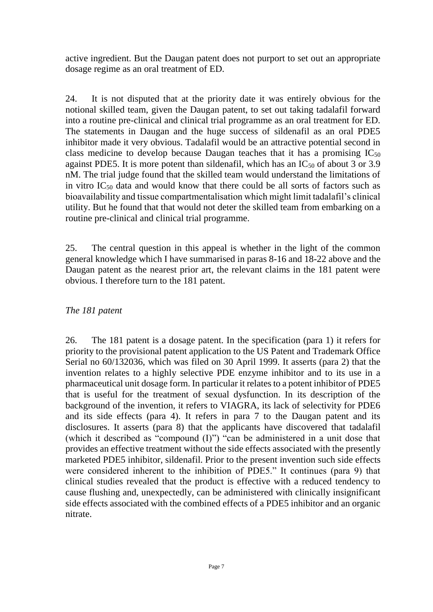active ingredient. But the Daugan patent does not purport to set out an appropriate dosage regime as an oral treatment of ED.

24. It is not disputed that at the priority date it was entirely obvious for the notional skilled team, given the Daugan patent, to set out taking tadalafil forward into a routine pre-clinical and clinical trial programme as an oral treatment for ED. The statements in Daugan and the huge success of sildenafil as an oral PDE5 inhibitor made it very obvious. Tadalafil would be an attractive potential second in class medicine to develop because Daugan teaches that it has a promising  $IC_{50}$ against PDE5. It is more potent than sildenafil, which has an  $IC_{50}$  of about 3 or 3.9 nM. The trial judge found that the skilled team would understand the limitations of in vitro IC<sup>50</sup> data and would know that there could be all sorts of factors such as bioavailability and tissue compartmentalisation which might limit tadalafil's clinical utility. But he found that that would not deter the skilled team from embarking on a routine pre-clinical and clinical trial programme.

25. The central question in this appeal is whether in the light of the common general knowledge which I have summarised in paras 8-16 and 18-22 above and the Daugan patent as the nearest prior art, the relevant claims in the 181 patent were obvious. I therefore turn to the 181 patent.

## *The 181 patent*

26. The 181 patent is a dosage patent. In the specification (para 1) it refers for priority to the provisional patent application to the US Patent and Trademark Office Serial no 60/132036, which was filed on 30 April 1999. It asserts (para 2) that the invention relates to a highly selective PDE enzyme inhibitor and to its use in a pharmaceutical unit dosage form. In particular it relates to a potent inhibitor of PDE5 that is useful for the treatment of sexual dysfunction. In its description of the background of the invention, it refers to VIAGRA, its lack of selectivity for PDE6 and its side effects (para 4). It refers in para 7 to the Daugan patent and its disclosures. It asserts (para 8) that the applicants have discovered that tadalafil (which it described as "compound (I)") "can be administered in a unit dose that provides an effective treatment without the side effects associated with the presently marketed PDE5 inhibitor, sildenafil. Prior to the present invention such side effects were considered inherent to the inhibition of PDE5." It continues (para 9) that clinical studies revealed that the product is effective with a reduced tendency to cause flushing and, unexpectedly, can be administered with clinically insignificant side effects associated with the combined effects of a PDE5 inhibitor and an organic nitrate.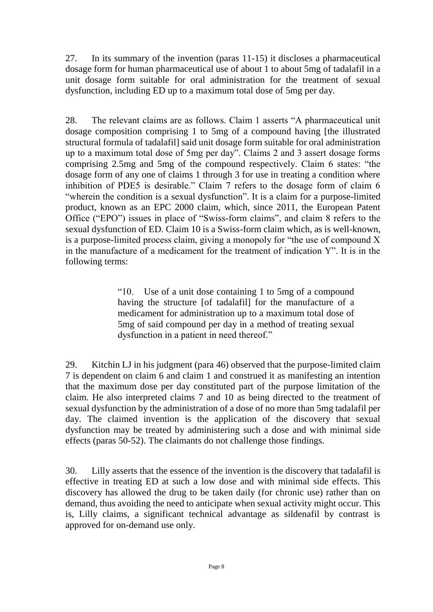27. In its summary of the invention (paras 11-15) it discloses a pharmaceutical dosage form for human pharmaceutical use of about 1 to about 5mg of tadalafil in a unit dosage form suitable for oral administration for the treatment of sexual dysfunction, including ED up to a maximum total dose of 5mg per day.

28. The relevant claims are as follows. Claim 1 asserts "A pharmaceutical unit dosage composition comprising 1 to 5mg of a compound having [the illustrated structural formula of tadalafil] said unit dosage form suitable for oral administration up to a maximum total dose of 5mg per day". Claims 2 and 3 assert dosage forms comprising 2.5mg and 5mg of the compound respectively. Claim 6 states: "the dosage form of any one of claims 1 through 3 for use in treating a condition where inhibition of PDE5 is desirable." Claim 7 refers to the dosage form of claim 6 "wherein the condition is a sexual dysfunction". It is a claim for a purpose-limited product, known as an EPC 2000 claim, which, since 2011, the European Patent Office ("EPO") issues in place of "Swiss-form claims", and claim 8 refers to the sexual dysfunction of ED. Claim 10 is a Swiss-form claim which, as is well-known, is a purpose-limited process claim, giving a monopoly for "the use of compound X in the manufacture of a medicament for the treatment of indication Y". It is in the following terms:

> "10. Use of a unit dose containing 1 to 5mg of a compound having the structure [of tadalafil] for the manufacture of a medicament for administration up to a maximum total dose of 5mg of said compound per day in a method of treating sexual dysfunction in a patient in need thereof."

29. Kitchin LJ in his judgment (para 46) observed that the purpose-limited claim 7 is dependent on claim 6 and claim 1 and construed it as manifesting an intention that the maximum dose per day constituted part of the purpose limitation of the claim. He also interpreted claims 7 and 10 as being directed to the treatment of sexual dysfunction by the administration of a dose of no more than 5mg tadalafil per day. The claimed invention is the application of the discovery that sexual dysfunction may be treated by administering such a dose and with minimal side effects (paras 50-52). The claimants do not challenge those findings.

30. Lilly asserts that the essence of the invention is the discovery that tadalafil is effective in treating ED at such a low dose and with minimal side effects. This discovery has allowed the drug to be taken daily (for chronic use) rather than on demand, thus avoiding the need to anticipate when sexual activity might occur. This is, Lilly claims, a significant technical advantage as sildenafil by contrast is approved for on-demand use only.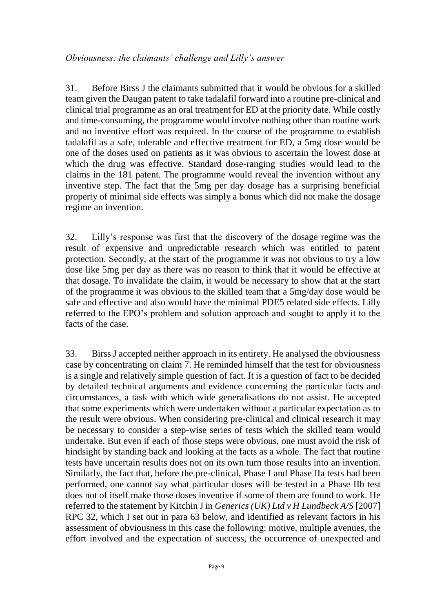31. Before Birss J the claimants submitted that it would be obvious for a skilled team given the Daugan patent to take tadalafil forward into a routine pre-clinical and clinical trial programme as an oral treatment for ED at the priority date. While costly and time-consuming, the programme would involve nothing other than routine work and no inventive effort was required. In the course of the programme to establish tadalafil as a safe, tolerable and effective treatment for ED, a 5mg dose would be one of the doses used on patients as it was obvious to ascertain the lowest dose at which the drug was effective. Standard dose-ranging studies would lead to the claims in the 181 patent. The programme would reveal the invention without any inventive step. The fact that the 5mg per day dosage has a surprising beneficial property of minimal side effects was simply a bonus which did not make the dosage regime an invention.

32. Lilly's response was first that the discovery of the dosage regime was the result of expensive and unpredictable research which was entitled to patent protection. Secondly, at the start of the programme it was not obvious to try a low dose like 5mg per day as there was no reason to think that it would be effective at that dosage. To invalidate the claim, it would be necessary to show that at the start of the programme it was obvious to the skilled team that a 5mg/day dose would be safe and effective and also would have the minimal PDE5 related side effects. Lilly referred to the EPO's problem and solution approach and sought to apply it to the facts of the case.

33. Birss J accepted neither approach in its entirety. He analysed the obviousness case by concentrating on claim 7. He reminded himself that the test for obviousness is a single and relatively simple question of fact. It is a question of fact to be decided by detailed technical arguments and evidence concerning the particular facts and circumstances, a task with which wide generalisations do not assist. He accepted that some experiments which were undertaken without a particular expectation as to the result were obvious. When considering pre-clinical and clinical research it may be necessary to consider a step-wise series of tests which the skilled team would undertake. But even if each of those steps were obvious, one must avoid the risk of hindsight by standing back and looking at the facts as a whole. The fact that routine tests have uncertain results does not on its own turn those results into an invention. Similarly, the fact that, before the pre-clinical, Phase I and Phase IIa tests had been performed, one cannot say what particular doses will be tested in a Phase IIb test does not of itself make those doses inventive if some of them are found to work. He referred to the statement by Kitchin J in *Generics (UK) Ltd v H Lundbeck A/S* [2007] RPC 32, which I set out in para 63 below, and identified as relevant factors in his assessment of obviousness in this case the following: motive, multiple avenues, the effort involved and the expectation of success, the occurrence of unexpected and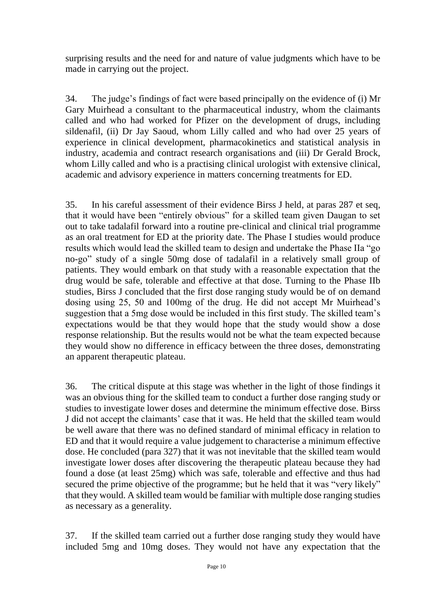surprising results and the need for and nature of value judgments which have to be made in carrying out the project.

34. The judge's findings of fact were based principally on the evidence of (i) Mr Gary Muirhead a consultant to the pharmaceutical industry, whom the claimants called and who had worked for Pfizer on the development of drugs, including sildenafil, (ii) Dr Jay Saoud, whom Lilly called and who had over 25 years of experience in clinical development, pharmacokinetics and statistical analysis in industry, academia and contract research organisations and (iii) Dr Gerald Brock, whom Lilly called and who is a practising clinical urologist with extensive clinical, academic and advisory experience in matters concerning treatments for ED.

35. In his careful assessment of their evidence Birss J held, at paras 287 et seq, that it would have been "entirely obvious" for a skilled team given Daugan to set out to take tadalafil forward into a routine pre-clinical and clinical trial programme as an oral treatment for ED at the priority date. The Phase I studies would produce results which would lead the skilled team to design and undertake the Phase IIa "go no-go" study of a single 50mg dose of tadalafil in a relatively small group of patients. They would embark on that study with a reasonable expectation that the drug would be safe, tolerable and effective at that dose. Turning to the Phase IIb studies, Birss J concluded that the first dose ranging study would be of on demand dosing using 25, 50 and 100mg of the drug. He did not accept Mr Muirhead's suggestion that a 5mg dose would be included in this first study. The skilled team's expectations would be that they would hope that the study would show a dose response relationship. But the results would not be what the team expected because they would show no difference in efficacy between the three doses, demonstrating an apparent therapeutic plateau.

36. The critical dispute at this stage was whether in the light of those findings it was an obvious thing for the skilled team to conduct a further dose ranging study or studies to investigate lower doses and determine the minimum effective dose. Birss J did not accept the claimants' case that it was. He held that the skilled team would be well aware that there was no defined standard of minimal efficacy in relation to ED and that it would require a value judgement to characterise a minimum effective dose. He concluded (para 327) that it was not inevitable that the skilled team would investigate lower doses after discovering the therapeutic plateau because they had found a dose (at least 25mg) which was safe, tolerable and effective and thus had secured the prime objective of the programme; but he held that it was "very likely" that they would. A skilled team would be familiar with multiple dose ranging studies as necessary as a generality.

37. If the skilled team carried out a further dose ranging study they would have included 5mg and 10mg doses. They would not have any expectation that the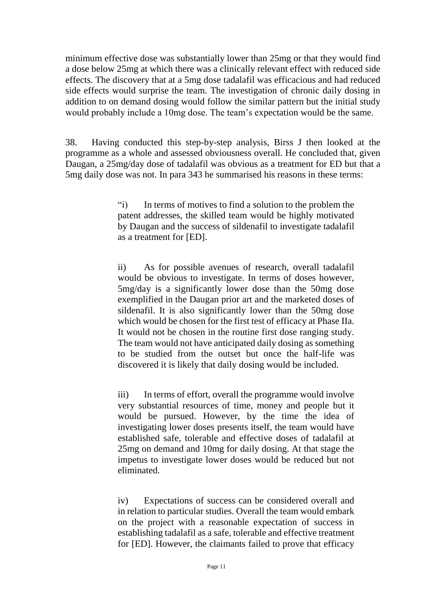minimum effective dose was substantially lower than 25mg or that they would find a dose below 25mg at which there was a clinically relevant effect with reduced side effects. The discovery that at a 5mg dose tadalafil was efficacious and had reduced side effects would surprise the team. The investigation of chronic daily dosing in addition to on demand dosing would follow the similar pattern but the initial study would probably include a 10mg dose. The team's expectation would be the same.

38. Having conducted this step-by-step analysis, Birss J then looked at the programme as a whole and assessed obviousness overall. He concluded that, given Daugan, a 25mg/day dose of tadalafil was obvious as a treatment for ED but that a 5mg daily dose was not. In para 343 he summarised his reasons in these terms:

> "i) In terms of motives to find a solution to the problem the patent addresses, the skilled team would be highly motivated by Daugan and the success of sildenafil to investigate tadalafil as a treatment for [ED].

> ii) As for possible avenues of research, overall tadalafil would be obvious to investigate. In terms of doses however, 5mg/day is a significantly lower dose than the 50mg dose exemplified in the Daugan prior art and the marketed doses of sildenafil. It is also significantly lower than the 50mg dose which would be chosen for the first test of efficacy at Phase IIa. It would not be chosen in the routine first dose ranging study. The team would not have anticipated daily dosing as something to be studied from the outset but once the half-life was discovered it is likely that daily dosing would be included.

> iii) In terms of effort, overall the programme would involve very substantial resources of time, money and people but it would be pursued. However, by the time the idea of investigating lower doses presents itself, the team would have established safe, tolerable and effective doses of tadalafil at 25mg on demand and 10mg for daily dosing. At that stage the impetus to investigate lower doses would be reduced but not eliminated.

> iv) Expectations of success can be considered overall and in relation to particular studies. Overall the team would embark on the project with a reasonable expectation of success in establishing tadalafil as a safe, tolerable and effective treatment for [ED]. However, the claimants failed to prove that efficacy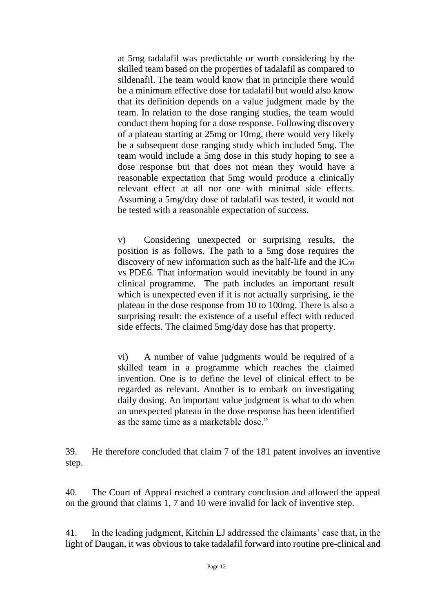at 5mg tadalafil was predictable or worth considering by the skilled team based on the properties of tadalafil as compared to sildenafil. The team would know that in principle there would be a minimum effective dose for tadalafil but would also know that its definition depends on a value judgment made by the team. In relation to the dose ranging studies, the team would conduct them hoping for a dose response. Following discovery of a plateau starting at 25mg or 10mg, there would very likely be a subsequent dose ranging study which included 5mg. The team would include a 5mg dose in this study hoping to see a dose response but that does not mean they would have a reasonable expectation that 5mg would produce a clinically relevant effect at all nor one with minimal side effects. Assuming a 5mg/day dose of tadalafil was tested, it would not be tested with a reasonable expectation of success.

v) Considering unexpected or surprising results, the position is as follows. The path to a 5mg dose requires the discovery of new information such as the half-life and the  $IC_{50}$ vs PDE6. That information would inevitably be found in any clinical programme. The path includes an important result which is unexpected even if it is not actually surprising, ie the plateau in the dose response from 10 to 100mg. There is also a surprising result: the existence of a useful effect with reduced side effects. The claimed 5mg/day dose has that property.

vi) A number of value judgments would be required of a skilled team in a programme which reaches the claimed invention. One is to define the level of clinical effect to be regarded as relevant. Another is to embark on investigating daily dosing. An important value judgment is what to do when an unexpected plateau in the dose response has been identified as the same time as a marketable dose."

39. He therefore concluded that claim 7 of the 181 patent involves an inventive step.

40. The Court of Appeal reached a contrary conclusion and allowed the appeal on the ground that claims 1, 7 and 10 were invalid for lack of inventive step.

41. In the leading judgment, Kitchin LJ addressed the claimants' case that, in the light of Daugan, it was obvious to take tadalafil forward into routine pre-clinical and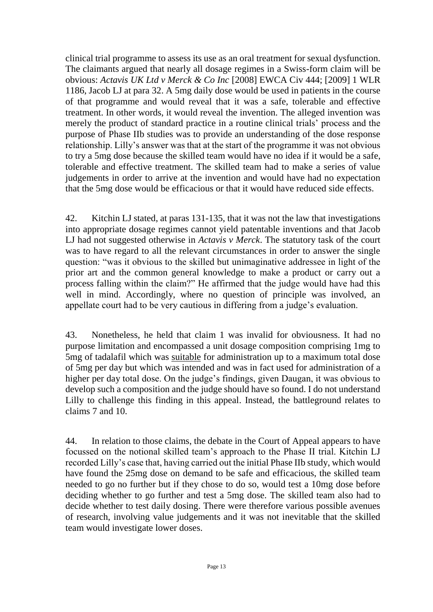clinical trial programme to assess its use as an oral treatment for sexual dysfunction. The claimants argued that nearly all dosage regimes in a Swiss-form claim will be obvious: *Actavis UK Ltd v Merck & Co Inc* [2008] EWCA Civ 444; [2009] 1 WLR 1186, Jacob LJ at para 32. A 5mg daily dose would be used in patients in the course of that programme and would reveal that it was a safe, tolerable and effective treatment. In other words, it would reveal the invention. The alleged invention was merely the product of standard practice in a routine clinical trials' process and the purpose of Phase IIb studies was to provide an understanding of the dose response relationship. Lilly's answer was that at the start of the programme it was not obvious to try a 5mg dose because the skilled team would have no idea if it would be a safe, tolerable and effective treatment. The skilled team had to make a series of value judgements in order to arrive at the invention and would have had no expectation that the 5mg dose would be efficacious or that it would have reduced side effects.

42. Kitchin LJ stated, at paras 131-135, that it was not the law that investigations into appropriate dosage regimes cannot yield patentable inventions and that Jacob LJ had not suggested otherwise in *Actavis v Merck*. The statutory task of the court was to have regard to all the relevant circumstances in order to answer the single question: "was it obvious to the skilled but unimaginative addressee in light of the prior art and the common general knowledge to make a product or carry out a process falling within the claim?" He affirmed that the judge would have had this well in mind. Accordingly, where no question of principle was involved, an appellate court had to be very cautious in differing from a judge's evaluation.

43. Nonetheless, he held that claim 1 was invalid for obviousness. It had no purpose limitation and encompassed a unit dosage composition comprising 1mg to 5mg of tadalafil which was suitable for administration up to a maximum total dose of 5mg per day but which was intended and was in fact used for administration of a higher per day total dose. On the judge's findings, given Daugan, it was obvious to develop such a composition and the judge should have so found. I do not understand Lilly to challenge this finding in this appeal. Instead, the battleground relates to claims 7 and 10.

44. In relation to those claims, the debate in the Court of Appeal appears to have focussed on the notional skilled team's approach to the Phase II trial. Kitchin LJ recorded Lilly's case that, having carried out the initial Phase IIb study, which would have found the 25mg dose on demand to be safe and efficacious, the skilled team needed to go no further but if they chose to do so, would test a 10mg dose before deciding whether to go further and test a 5mg dose. The skilled team also had to decide whether to test daily dosing. There were therefore various possible avenues of research, involving value judgements and it was not inevitable that the skilled team would investigate lower doses.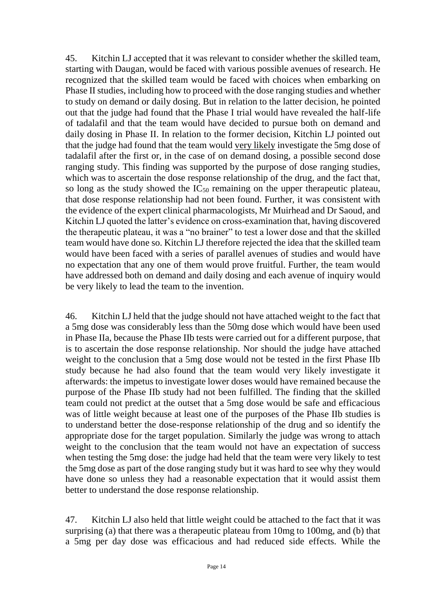45. Kitchin LJ accepted that it was relevant to consider whether the skilled team, starting with Daugan, would be faced with various possible avenues of research. He recognized that the skilled team would be faced with choices when embarking on Phase II studies, including how to proceed with the dose ranging studies and whether to study on demand or daily dosing. But in relation to the latter decision, he pointed out that the judge had found that the Phase I trial would have revealed the half-life of tadalafil and that the team would have decided to pursue both on demand and daily dosing in Phase II. In relation to the former decision, Kitchin LJ pointed out that the judge had found that the team would very likely investigate the 5mg dose of tadalafil after the first or, in the case of on demand dosing, a possible second dose ranging study. This finding was supported by the purpose of dose ranging studies, which was to ascertain the dose response relationship of the drug, and the fact that, so long as the study showed the  $IC_{50}$  remaining on the upper therapeutic plateau, that dose response relationship had not been found. Further, it was consistent with the evidence of the expert clinical pharmacologists, Mr Muirhead and Dr Saoud, and Kitchin LJ quoted the latter's evidence on cross-examination that, having discovered the therapeutic plateau, it was a "no brainer" to test a lower dose and that the skilled team would have done so. Kitchin LJ therefore rejected the idea that the skilled team would have been faced with a series of parallel avenues of studies and would have no expectation that any one of them would prove fruitful. Further, the team would have addressed both on demand and daily dosing and each avenue of inquiry would be very likely to lead the team to the invention.

46. Kitchin LJ held that the judge should not have attached weight to the fact that a 5mg dose was considerably less than the 50mg dose which would have been used in Phase IIa, because the Phase IIb tests were carried out for a different purpose, that is to ascertain the dose response relationship. Nor should the judge have attached weight to the conclusion that a 5mg dose would not be tested in the first Phase IIb study because he had also found that the team would very likely investigate it afterwards: the impetus to investigate lower doses would have remained because the purpose of the Phase IIb study had not been fulfilled. The finding that the skilled team could not predict at the outset that a 5mg dose would be safe and efficacious was of little weight because at least one of the purposes of the Phase IIb studies is to understand better the dose-response relationship of the drug and so identify the appropriate dose for the target population. Similarly the judge was wrong to attach weight to the conclusion that the team would not have an expectation of success when testing the 5mg dose: the judge had held that the team were very likely to test the 5mg dose as part of the dose ranging study but it was hard to see why they would have done so unless they had a reasonable expectation that it would assist them better to understand the dose response relationship.

47. Kitchin LJ also held that little weight could be attached to the fact that it was surprising (a) that there was a therapeutic plateau from 10mg to 100mg, and (b) that a 5mg per day dose was efficacious and had reduced side effects. While the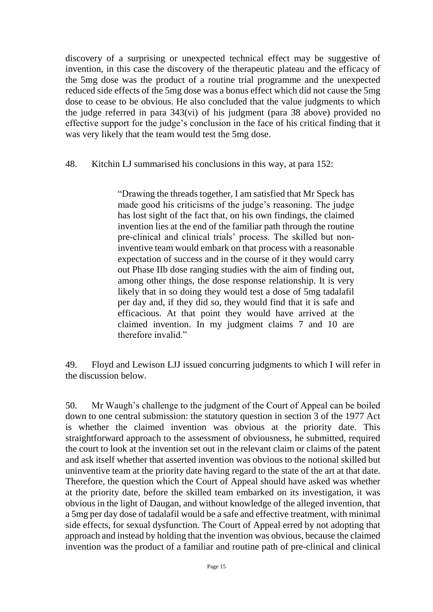discovery of a surprising or unexpected technical effect may be suggestive of invention, in this case the discovery of the therapeutic plateau and the efficacy of the 5mg dose was the product of a routine trial programme and the unexpected reduced side effects of the 5mg dose was a bonus effect which did not cause the 5mg dose to cease to be obvious. He also concluded that the value judgments to which the judge referred in para 343(vi) of his judgment (para 38 above) provided no effective support for the judge's conclusion in the face of his critical finding that it was very likely that the team would test the 5mg dose.

48. Kitchin LJ summarised his conclusions in this way, at para 152:

"Drawing the threads together, I am satisfied that Mr Speck has made good his criticisms of the judge's reasoning. The judge has lost sight of the fact that, on his own findings, the claimed invention lies at the end of the familiar path through the routine pre-clinical and clinical trials' process. The skilled but noninventive team would embark on that process with a reasonable expectation of success and in the course of it they would carry out Phase IIb dose ranging studies with the aim of finding out, among other things, the dose response relationship. It is very likely that in so doing they would test a dose of 5mg tadalafil per day and, if they did so, they would find that it is safe and efficacious. At that point they would have arrived at the claimed invention. In my judgment claims 7 and 10 are therefore invalid."

49. Floyd and Lewison LJJ issued concurring judgments to which I will refer in the discussion below.

50. Mr Waugh's challenge to the judgment of the Court of Appeal can be boiled down to one central submission: the statutory question in section 3 of the 1977 Act is whether the claimed invention was obvious at the priority date. This straightforward approach to the assessment of obviousness, he submitted, required the court to look at the invention set out in the relevant claim or claims of the patent and ask itself whether that asserted invention was obvious to the notional skilled but uninventive team at the priority date having regard to the state of the art at that date. Therefore, the question which the Court of Appeal should have asked was whether at the priority date, before the skilled team embarked on its investigation, it was obvious in the light of Daugan, and without knowledge of the alleged invention, that a 5mg per day dose of tadalafil would be a safe and effective treatment, with minimal side effects, for sexual dysfunction. The Court of Appeal erred by not adopting that approach and instead by holding that the invention was obvious, because the claimed invention was the product of a familiar and routine path of pre-clinical and clinical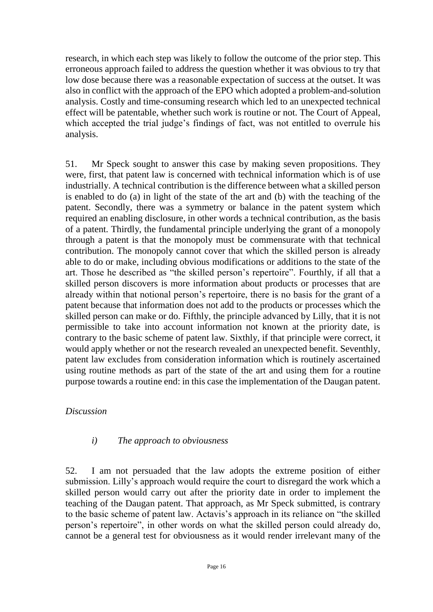research, in which each step was likely to follow the outcome of the prior step. This erroneous approach failed to address the question whether it was obvious to try that low dose because there was a reasonable expectation of success at the outset. It was also in conflict with the approach of the EPO which adopted a problem-and-solution analysis. Costly and time-consuming research which led to an unexpected technical effect will be patentable, whether such work is routine or not. The Court of Appeal, which accepted the trial judge's findings of fact, was not entitled to overrule his analysis.

51. Mr Speck sought to answer this case by making seven propositions. They were, first, that patent law is concerned with technical information which is of use industrially. A technical contribution is the difference between what a skilled person is enabled to do (a) in light of the state of the art and (b) with the teaching of the patent. Secondly, there was a symmetry or balance in the patent system which required an enabling disclosure, in other words a technical contribution, as the basis of a patent. Thirdly, the fundamental principle underlying the grant of a monopoly through a patent is that the monopoly must be commensurate with that technical contribution. The monopoly cannot cover that which the skilled person is already able to do or make, including obvious modifications or additions to the state of the art. Those he described as "the skilled person's repertoire". Fourthly, if all that a skilled person discovers is more information about products or processes that are already within that notional person's repertoire, there is no basis for the grant of a patent because that information does not add to the products or processes which the skilled person can make or do. Fifthly, the principle advanced by Lilly, that it is not permissible to take into account information not known at the priority date, is contrary to the basic scheme of patent law. Sixthly, if that principle were correct, it would apply whether or not the research revealed an unexpected benefit. Seventhly, patent law excludes from consideration information which is routinely ascertained using routine methods as part of the state of the art and using them for a routine purpose towards a routine end: in this case the implementation of the Daugan patent.

## *Discussion*

## *i) The approach to obviousness*

52. I am not persuaded that the law adopts the extreme position of either submission. Lilly's approach would require the court to disregard the work which a skilled person would carry out after the priority date in order to implement the teaching of the Daugan patent. That approach, as Mr Speck submitted, is contrary to the basic scheme of patent law. Actavis's approach in its reliance on "the skilled person's repertoire", in other words on what the skilled person could already do, cannot be a general test for obviousness as it would render irrelevant many of the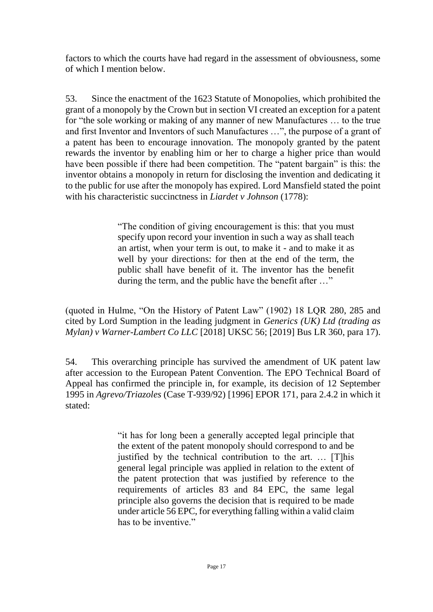factors to which the courts have had regard in the assessment of obviousness, some of which I mention below.

53. Since the enactment of the 1623 Statute of Monopolies, which prohibited the grant of a monopoly by the Crown but in section VI created an exception for a patent for "the sole working or making of any manner of new Manufactures … to the true and first Inventor and Inventors of such Manufactures …", the purpose of a grant of a patent has been to encourage innovation. The monopoly granted by the patent rewards the inventor by enabling him or her to charge a higher price than would have been possible if there had been competition. The "patent bargain" is this: the inventor obtains a monopoly in return for disclosing the invention and dedicating it to the public for use after the monopoly has expired. Lord Mansfield stated the point with his characteristic succinctness in *Liardet v Johnson* (1778):

> "The condition of giving encouragement is this: that you must specify upon record your invention in such a way as shall teach an artist, when your term is out, to make it - and to make it as well by your directions: for then at the end of the term, the public shall have benefit of it. The inventor has the benefit during the term, and the public have the benefit after …"

(quoted in Hulme, "On the History of Patent Law" (1902) 18 LQR 280, 285 and cited by Lord Sumption in the leading judgment in *Generics (UK) Ltd (trading as Mylan) v Warner-Lambert Co LLC* [2018] UKSC 56; [2019] Bus LR 360, para 17).

54. This overarching principle has survived the amendment of UK patent law after accession to the European Patent Convention. The EPO Technical Board of Appeal has confirmed the principle in, for example, its decision of 12 September 1995 in *Agrevo/Triazoles* (Case T-939/92) [1996] EPOR 171, para 2.4.2 in which it stated:

> "it has for long been a generally accepted legal principle that the extent of the patent monopoly should correspond to and be justified by the technical contribution to the art. … [T]his general legal principle was applied in relation to the extent of the patent protection that was justified by reference to the requirements of articles 83 and 84 EPC, the same legal principle also governs the decision that is required to be made under article 56 EPC, for everything falling within a valid claim has to be inventive."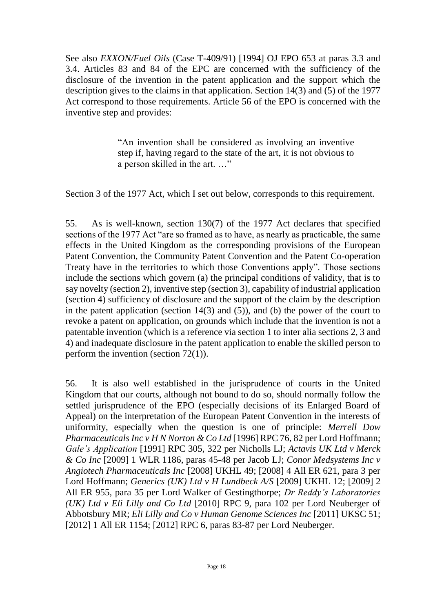See also *EXXON/Fuel Oils* (Case T-409/91) [1994] OJ EPO 653 at paras 3.3 and 3.4. Articles 83 and 84 of the EPC are concerned with the sufficiency of the disclosure of the invention in the patent application and the support which the description gives to the claims in that application. Section 14(3) and (5) of the 1977 Act correspond to those requirements. Article 56 of the EPO is concerned with the inventive step and provides:

> "An invention shall be considered as involving an inventive step if, having regard to the state of the art, it is not obvious to a person skilled in the art. …"

Section 3 of the 1977 Act, which I set out below, corresponds to this requirement.

55. As is well-known, section 130(7) of the 1977 Act declares that specified sections of the 1977 Act "are so framed as to have, as nearly as practicable, the same effects in the United Kingdom as the corresponding provisions of the European Patent Convention, the Community Patent Convention and the Patent Co-operation Treaty have in the territories to which those Conventions apply". Those sections include the sections which govern (a) the principal conditions of validity, that is to say novelty (section 2), inventive step (section 3), capability of industrial application (section 4) sufficiency of disclosure and the support of the claim by the description in the patent application (section  $14(3)$  and  $(5)$ ), and (b) the power of the court to revoke a patent on application, on grounds which include that the invention is not a patentable invention (which is a reference via section 1 to inter alia sections 2, 3 and 4) and inadequate disclosure in the patent application to enable the skilled person to perform the invention (section 72(1)).

56. It is also well established in the jurisprudence of courts in the United Kingdom that our courts, although not bound to do so, should normally follow the settled jurisprudence of the EPO (especially decisions of its Enlarged Board of Appeal) on the interpretation of the European Patent Convention in the interests of uniformity, especially when the question is one of principle: *Merrell Dow Pharmaceuticals Inc v H N Norton & Co Ltd* [1996] RPC 76, 82 per Lord Hoffmann; *Gale's Application* [1991] RPC 305, 322 per Nicholls LJ; *Actavis UK Ltd v Merck & Co Inc* [2009] 1 WLR 1186, paras 45-48 per Jacob LJ; *Conor Medsystems Inc v Angiotech Pharmaceuticals Inc* [2008] UKHL 49; [2008] 4 All ER 621, para 3 per Lord Hoffmann; *Generics (UK) Ltd v H Lundbeck A/S* [2009] UKHL 12; [2009] 2 All ER 955, para 35 per Lord Walker of Gestingthorpe; *Dr Reddy's Laboratories (UK) Ltd v Eli Lilly and Co Ltd* [2010] RPC 9, para 102 per Lord Neuberger of Abbotsbury MR; *Eli Lilly and Co v Human Genome Sciences Inc* [2011] UKSC 51; [2012] 1 All ER 1154; [2012] RPC 6, paras 83-87 per Lord Neuberger.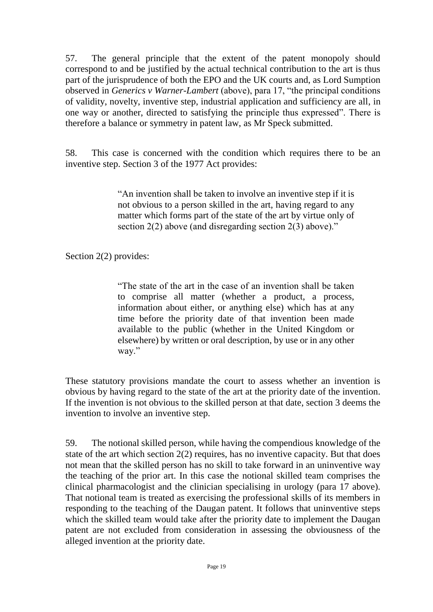57. The general principle that the extent of the patent monopoly should correspond to and be justified by the actual technical contribution to the art is thus part of the jurisprudence of both the EPO and the UK courts and, as Lord Sumption observed in *Generics v Warner-Lambert* (above), para 17, "the principal conditions of validity, novelty, inventive step, industrial application and sufficiency are all, in one way or another, directed to satisfying the principle thus expressed". There is therefore a balance or symmetry in patent law, as Mr Speck submitted.

58. This case is concerned with the condition which requires there to be an inventive step. Section 3 of the 1977 Act provides:

> "An invention shall be taken to involve an inventive step if it is not obvious to a person skilled in the art, having regard to any matter which forms part of the state of the art by virtue only of section 2(2) above (and disregarding section 2(3) above)."

Section 2(2) provides:

"The state of the art in the case of an invention shall be taken to comprise all matter (whether a product, a process, information about either, or anything else) which has at any time before the priority date of that invention been made available to the public (whether in the United Kingdom or elsewhere) by written or oral description, by use or in any other way."

These statutory provisions mandate the court to assess whether an invention is obvious by having regard to the state of the art at the priority date of the invention. If the invention is not obvious to the skilled person at that date, section 3 deems the invention to involve an inventive step.

59. The notional skilled person, while having the compendious knowledge of the state of the art which section 2(2) requires, has no inventive capacity. But that does not mean that the skilled person has no skill to take forward in an uninventive way the teaching of the prior art. In this case the notional skilled team comprises the clinical pharmacologist and the clinician specialising in urology (para 17 above). That notional team is treated as exercising the professional skills of its members in responding to the teaching of the Daugan patent. It follows that uninventive steps which the skilled team would take after the priority date to implement the Daugan patent are not excluded from consideration in assessing the obviousness of the alleged invention at the priority date.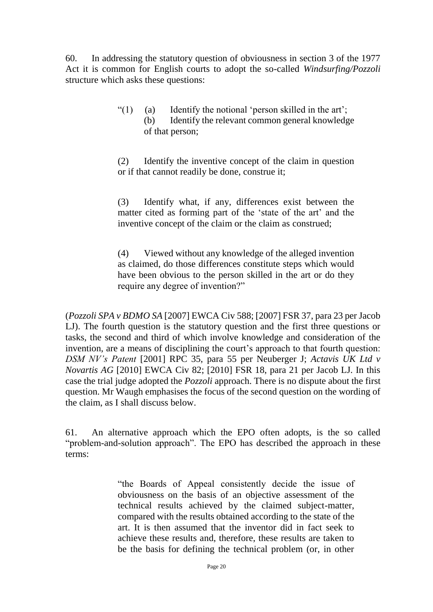60. In addressing the statutory question of obviousness in section 3 of the 1977 Act it is common for English courts to adopt the so-called *Windsurfing/Pozzoli* structure which asks these questions:

> "(1) (a) Identify the notional 'person skilled in the art'; (b) Identify the relevant common general knowledge of that person;

> (2) Identify the inventive concept of the claim in question or if that cannot readily be done, construe it;

> (3) Identify what, if any, differences exist between the matter cited as forming part of the 'state of the art' and the inventive concept of the claim or the claim as construed;

> (4) Viewed without any knowledge of the alleged invention as claimed, do those differences constitute steps which would have been obvious to the person skilled in the art or do they require any degree of invention?"

(*Pozzoli SPA v BDMO SA* [2007] EWCA Civ 588; [2007] FSR 37, para 23 per Jacob LJ). The fourth question is the statutory question and the first three questions or tasks, the second and third of which involve knowledge and consideration of the invention, are a means of disciplining the court's approach to that fourth question: *DSM NV's Patent* [2001] RPC 35, para 55 per Neuberger J; *Actavis UK Ltd v Novartis AG* [2010] EWCA Civ 82; [2010] FSR 18, para 21 per Jacob LJ. In this case the trial judge adopted the *Pozzoli* approach. There is no dispute about the first question. Mr Waugh emphasises the focus of the second question on the wording of the claim, as I shall discuss below.

61. An alternative approach which the EPO often adopts, is the so called "problem-and-solution approach". The EPO has described the approach in these terms:

> "the Boards of Appeal consistently decide the issue of obviousness on the basis of an objective assessment of the technical results achieved by the claimed subject-matter, compared with the results obtained according to the state of the art. It is then assumed that the inventor did in fact seek to achieve these results and, therefore, these results are taken to be the basis for defining the technical problem (or, in other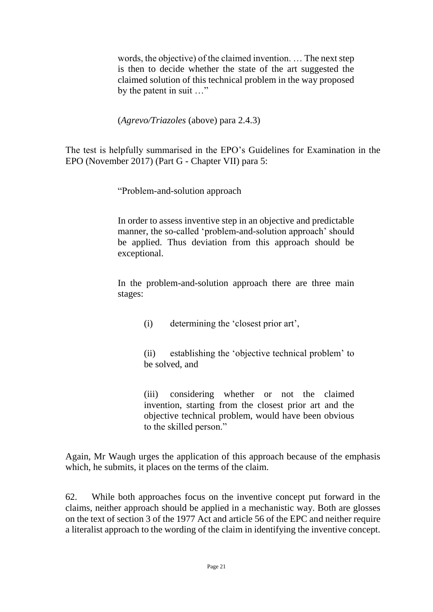words, the objective) of the claimed invention. … The next step is then to decide whether the state of the art suggested the claimed solution of this technical problem in the way proposed by the patent in suit …"

(*Agrevo/Triazoles* (above) para 2.4.3)

The test is helpfully summarised in the EPO's Guidelines for Examination in the EPO (November 2017) (Part G - Chapter VII) para 5:

"Problem-and-solution approach

In order to assess inventive step in an objective and predictable manner, the so-called 'problem-and-solution approach' should be applied. Thus deviation from this approach should be exceptional.

In the problem-and-solution approach there are three main stages:

(i) determining the 'closest prior art',

(ii) establishing the 'objective technical problem' to be solved, and

(iii) considering whether or not the claimed invention, starting from the closest prior art and the objective technical problem, would have been obvious to the skilled person."

Again, Mr Waugh urges the application of this approach because of the emphasis which, he submits, it places on the terms of the claim.

62. While both approaches focus on the inventive concept put forward in the claims, neither approach should be applied in a mechanistic way. Both are glosses on the text of section 3 of the 1977 Act and article 56 of the EPC and neither require a literalist approach to the wording of the claim in identifying the inventive concept.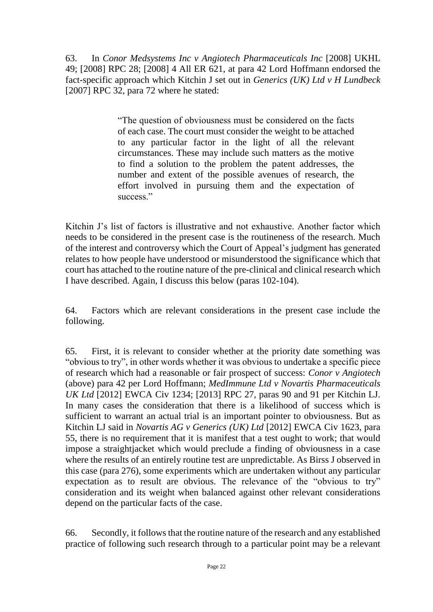63. In *Conor Medsystems Inc v Angiotech Pharmaceuticals Inc* [2008] UKHL 49; [2008] RPC 28; [2008] 4 All ER 621, at para 42 Lord Hoffmann endorsed the fact-specific approach which Kitchin J set out in *Generics (UK) Ltd v H Lundbeck* [2007] RPC 32, para 72 where he stated:

> "The question of obviousness must be considered on the facts of each case. The court must consider the weight to be attached to any particular factor in the light of all the relevant circumstances. These may include such matters as the motive to find a solution to the problem the patent addresses, the number and extent of the possible avenues of research, the effort involved in pursuing them and the expectation of success."

Kitchin J's list of factors is illustrative and not exhaustive. Another factor which needs to be considered in the present case is the routineness of the research. Much of the interest and controversy which the Court of Appeal's judgment has generated relates to how people have understood or misunderstood the significance which that court has attached to the routine nature of the pre-clinical and clinical research which I have described. Again, I discuss this below (paras 102-104).

64. Factors which are relevant considerations in the present case include the following.

65. First, it is relevant to consider whether at the priority date something was "obvious to try", in other words whether it was obvious to undertake a specific piece of research which had a reasonable or fair prospect of success: *Conor v Angiotech*  (above) para 42 per Lord Hoffmann; *MedImmune Ltd v Novartis Pharmaceuticals UK Ltd* [2012] EWCA Civ 1234; [2013] RPC 27, paras 90 and 91 per Kitchin LJ. In many cases the consideration that there is a likelihood of success which is sufficient to warrant an actual trial is an important pointer to obviousness. But as Kitchin LJ said in *Novartis AG v Generics (UK) Ltd* [2012] EWCA Civ 1623, para 55, there is no requirement that it is manifest that a test ought to work; that would impose a straightjacket which would preclude a finding of obviousness in a case where the results of an entirely routine test are unpredictable. As Birss J observed in this case (para 276), some experiments which are undertaken without any particular expectation as to result are obvious. The relevance of the "obvious to try" consideration and its weight when balanced against other relevant considerations depend on the particular facts of the case.

66. Secondly, it follows that the routine nature of the research and any established practice of following such research through to a particular point may be a relevant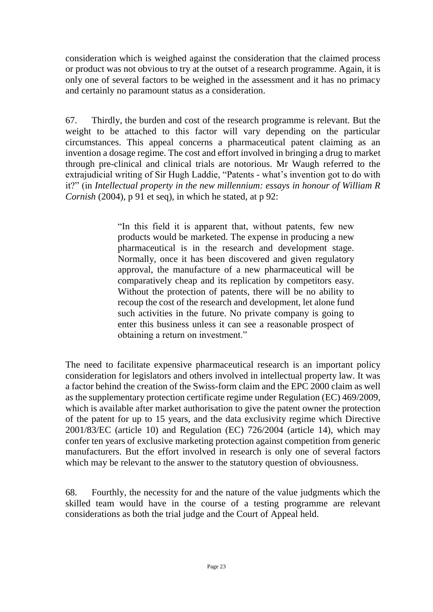consideration which is weighed against the consideration that the claimed process or product was not obvious to try at the outset of a research programme. Again, it is only one of several factors to be weighed in the assessment and it has no primacy and certainly no paramount status as a consideration.

67. Thirdly, the burden and cost of the research programme is relevant. But the weight to be attached to this factor will vary depending on the particular circumstances. This appeal concerns a pharmaceutical patent claiming as an invention a dosage regime. The cost and effort involved in bringing a drug to market through pre-clinical and clinical trials are notorious. Mr Waugh referred to the extrajudicial writing of Sir Hugh Laddie, "Patents - what's invention got to do with it?" (in *Intellectual property in the new millennium: essays in honour of William R Cornish* (2004), p 91 et seq), in which he stated, at p 92:

> "In this field it is apparent that, without patents, few new products would be marketed. The expense in producing a new pharmaceutical is in the research and development stage. Normally, once it has been discovered and given regulatory approval, the manufacture of a new pharmaceutical will be comparatively cheap and its replication by competitors easy. Without the protection of patents, there will be no ability to recoup the cost of the research and development, let alone fund such activities in the future. No private company is going to enter this business unless it can see a reasonable prospect of obtaining a return on investment."

The need to facilitate expensive pharmaceutical research is an important policy consideration for legislators and others involved in intellectual property law. It was a factor behind the creation of the Swiss-form claim and the EPC 2000 claim as well as the supplementary protection certificate regime under Regulation (EC) 469/2009, which is available after market authorisation to give the patent owner the protection of the patent for up to 15 years, and the data exclusivity regime which Directive 2001/83/EC (article 10) and Regulation (EC) 726/2004 (article 14), which may confer ten years of exclusive marketing protection against competition from generic manufacturers. But the effort involved in research is only one of several factors which may be relevant to the answer to the statutory question of obviousness.

68. Fourthly, the necessity for and the nature of the value judgments which the skilled team would have in the course of a testing programme are relevant considerations as both the trial judge and the Court of Appeal held.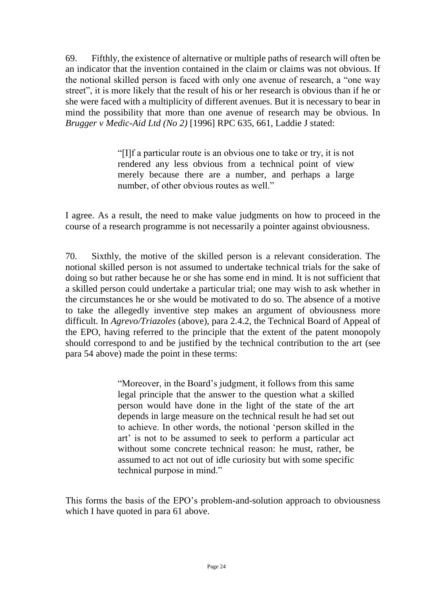69. Fifthly, the existence of alternative or multiple paths of research will often be an indicator that the invention contained in the claim or claims was not obvious. If the notional skilled person is faced with only one avenue of research, a "one way street", it is more likely that the result of his or her research is obvious than if he or she were faced with a multiplicity of different avenues. But it is necessary to bear in mind the possibility that more than one avenue of research may be obvious. In *Brugger v Medic-Aid Ltd (No 2)* [1996] RPC 635, 661, Laddie J stated:

> "[I]f a particular route is an obvious one to take or try, it is not rendered any less obvious from a technical point of view merely because there are a number, and perhaps a large number, of other obvious routes as well."

I agree. As a result, the need to make value judgments on how to proceed in the course of a research programme is not necessarily a pointer against obviousness.

70. Sixthly, the motive of the skilled person is a relevant consideration. The notional skilled person is not assumed to undertake technical trials for the sake of doing so but rather because he or she has some end in mind. It is not sufficient that a skilled person could undertake a particular trial; one may wish to ask whether in the circumstances he or she would be motivated to do so. The absence of a motive to take the allegedly inventive step makes an argument of obviousness more difficult. In *Agrevo/Triazoles* (above), para 2.4.2, the Technical Board of Appeal of the EPO, having referred to the principle that the extent of the patent monopoly should correspond to and be justified by the technical contribution to the art (see para 54 above) made the point in these terms:

> "Moreover, in the Board's judgment, it follows from this same legal principle that the answer to the question what a skilled person would have done in the light of the state of the art depends in large measure on the technical result he had set out to achieve. In other words, the notional 'person skilled in the art' is not to be assumed to seek to perform a particular act without some concrete technical reason: he must, rather, be assumed to act not out of idle curiosity but with some specific technical purpose in mind."

This forms the basis of the EPO's problem-and-solution approach to obviousness which I have quoted in para 61 above.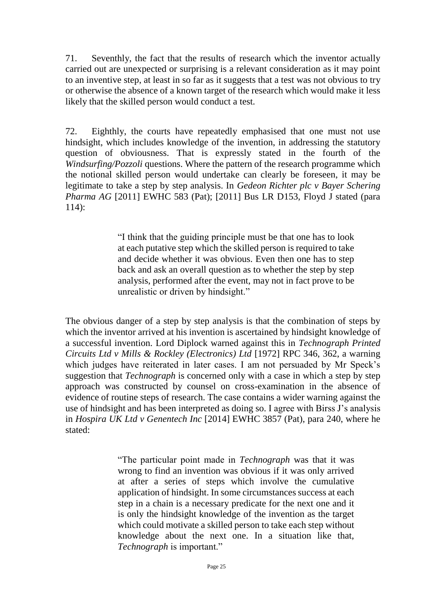71. Seventhly, the fact that the results of research which the inventor actually carried out are unexpected or surprising is a relevant consideration as it may point to an inventive step, at least in so far as it suggests that a test was not obvious to try or otherwise the absence of a known target of the research which would make it less likely that the skilled person would conduct a test.

72. Eighthly, the courts have repeatedly emphasised that one must not use hindsight, which includes knowledge of the invention, in addressing the statutory question of obviousness. That is expressly stated in the fourth of the *Windsurfing/Pozzoli* questions. Where the pattern of the research programme which the notional skilled person would undertake can clearly be foreseen, it may be legitimate to take a step by step analysis. In *Gedeon Richter plc v Bayer Schering Pharma AG* [2011] EWHC 583 (Pat); [2011] Bus LR D153, Floyd J stated (para 114):

> "I think that the guiding principle must be that one has to look at each putative step which the skilled person is required to take and decide whether it was obvious. Even then one has to step back and ask an overall question as to whether the step by step analysis, performed after the event, may not in fact prove to be unrealistic or driven by hindsight."

The obvious danger of a step by step analysis is that the combination of steps by which the inventor arrived at his invention is ascertained by hindsight knowledge of a successful invention. Lord Diplock warned against this in *Technograph Printed Circuits Ltd v Mills & Rockley (Electronics) Ltd* [1972] RPC 346, 362, a warning which judges have reiterated in later cases. I am not persuaded by Mr Speck's suggestion that *Technograph* is concerned only with a case in which a step by step approach was constructed by counsel on cross-examination in the absence of evidence of routine steps of research. The case contains a wider warning against the use of hindsight and has been interpreted as doing so. I agree with Birss J's analysis in *Hospira UK Ltd v Genentech Inc* [2014] EWHC 3857 (Pat), para 240, where he stated:

> "The particular point made in *Technograph* was that it was wrong to find an invention was obvious if it was only arrived at after a series of steps which involve the cumulative application of hindsight. In some circumstances success at each step in a chain is a necessary predicate for the next one and it is only the hindsight knowledge of the invention as the target which could motivate a skilled person to take each step without knowledge about the next one. In a situation like that, *Technograph* is important."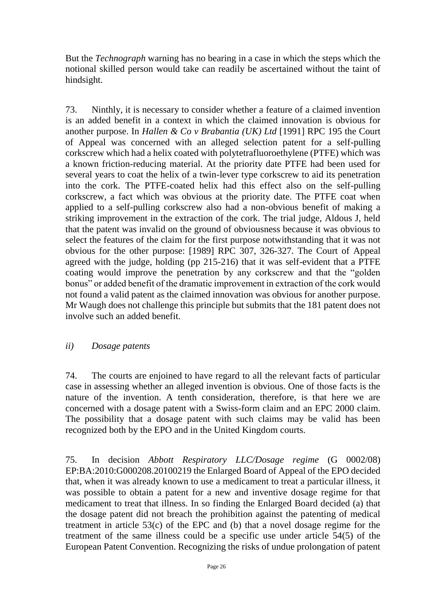But the *Technograph* warning has no bearing in a case in which the steps which the notional skilled person would take can readily be ascertained without the taint of hindsight.

73. Ninthly, it is necessary to consider whether a feature of a claimed invention is an added benefit in a context in which the claimed innovation is obvious for another purpose. In *Hallen & Co v Brabantia (UK) Ltd* [1991] RPC 195 the Court of Appeal was concerned with an alleged selection patent for a self-pulling corkscrew which had a helix coated with polytetrafluoroethylene (PTFE) which was a known friction-reducing material. At the priority date PTFE had been used for several years to coat the helix of a twin-lever type corkscrew to aid its penetration into the cork. The PTFE-coated helix had this effect also on the self-pulling corkscrew, a fact which was obvious at the priority date. The PTFE coat when applied to a self-pulling corkscrew also had a non-obvious benefit of making a striking improvement in the extraction of the cork. The trial judge, Aldous J, held that the patent was invalid on the ground of obviousness because it was obvious to select the features of the claim for the first purpose notwithstanding that it was not obvious for the other purpose: [1989] RPC 307, 326-327. The Court of Appeal agreed with the judge, holding (pp 215-216) that it was self-evident that a PTFE coating would improve the penetration by any corkscrew and that the "golden bonus" or added benefit of the dramatic improvement in extraction of the cork would not found a valid patent as the claimed innovation was obvious for another purpose. Mr Waugh does not challenge this principle but submits that the 181 patent does not involve such an added benefit.

## *ii) Dosage patents*

74. The courts are enjoined to have regard to all the relevant facts of particular case in assessing whether an alleged invention is obvious. One of those facts is the nature of the invention. A tenth consideration, therefore, is that here we are concerned with a dosage patent with a Swiss-form claim and an EPC 2000 claim. The possibility that a dosage patent with such claims may be valid has been recognized both by the EPO and in the United Kingdom courts.

75. In decision *Abbott Respiratory LLC/Dosage regime* (G 0002/08) EP:BA:2010:G000208.20100219 the Enlarged Board of Appeal of the EPO decided that, when it was already known to use a medicament to treat a particular illness, it was possible to obtain a patent for a new and inventive dosage regime for that medicament to treat that illness. In so finding the Enlarged Board decided (a) that the dosage patent did not breach the prohibition against the patenting of medical treatment in article 53(c) of the EPC and (b) that a novel dosage regime for the treatment of the same illness could be a specific use under article 54(5) of the European Patent Convention. Recognizing the risks of undue prolongation of patent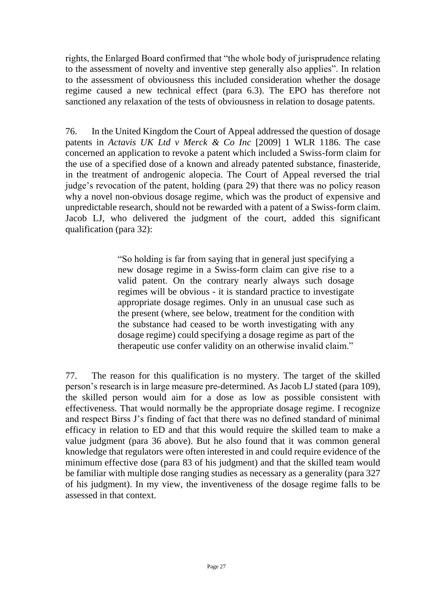rights, the Enlarged Board confirmed that "the whole body of jurisprudence relating to the assessment of novelty and inventive step generally also applies". In relation to the assessment of obviousness this included consideration whether the dosage regime caused a new technical effect (para 6.3). The EPO has therefore not sanctioned any relaxation of the tests of obviousness in relation to dosage patents.

76. In the United Kingdom the Court of Appeal addressed the question of dosage patents in *Actavis UK Ltd v Merck & Co Inc* [2009] 1 WLR 1186. The case concerned an application to revoke a patent which included a Swiss-form claim for the use of a specified dose of a known and already patented substance, finasteride, in the treatment of androgenic alopecia. The Court of Appeal reversed the trial judge's revocation of the patent, holding (para 29) that there was no policy reason why a novel non-obvious dosage regime, which was the product of expensive and unpredictable research, should not be rewarded with a patent of a Swiss-form claim. Jacob LJ, who delivered the judgment of the court, added this significant qualification (para 32):

> "So holding is far from saying that in general just specifying a new dosage regime in a Swiss-form claim can give rise to a valid patent. On the contrary nearly always such dosage regimes will be obvious - it is standard practice to investigate appropriate dosage regimes. Only in an unusual case such as the present (where, see below, treatment for the condition with the substance had ceased to be worth investigating with any dosage regime) could specifying a dosage regime as part of the therapeutic use confer validity on an otherwise invalid claim."

77. The reason for this qualification is no mystery. The target of the skilled person's research is in large measure pre-determined. As Jacob LJ stated (para 109), the skilled person would aim for a dose as low as possible consistent with effectiveness. That would normally be the appropriate dosage regime. I recognize and respect Birss J's finding of fact that there was no defined standard of minimal efficacy in relation to ED and that this would require the skilled team to make a value judgment (para 36 above). But he also found that it was common general knowledge that regulators were often interested in and could require evidence of the minimum effective dose (para 83 of his judgment) and that the skilled team would be familiar with multiple dose ranging studies as necessary as a generality (para 327 of his judgment). In my view, the inventiveness of the dosage regime falls to be assessed in that context.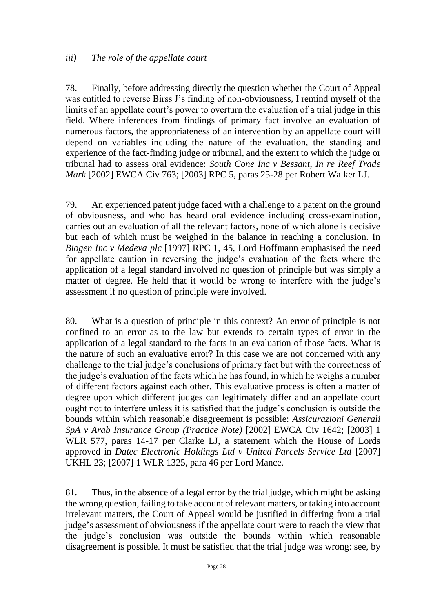### *iii) The role of the appellate court*

78. Finally, before addressing directly the question whether the Court of Appeal was entitled to reverse Birss J's finding of non-obviousness, I remind myself of the limits of an appellate court's power to overturn the evaluation of a trial judge in this field. Where inferences from findings of primary fact involve an evaluation of numerous factors, the appropriateness of an intervention by an appellate court will depend on variables including the nature of the evaluation, the standing and experience of the fact-finding judge or tribunal, and the extent to which the judge or tribunal had to assess oral evidence: *South Cone Inc v Bessant*, *In re Reef Trade Mark* [2002] EWCA Civ 763; [2003] RPC 5, paras 25-28 per Robert Walker LJ.

79. An experienced patent judge faced with a challenge to a patent on the ground of obviousness, and who has heard oral evidence including cross-examination, carries out an evaluation of all the relevant factors, none of which alone is decisive but each of which must be weighed in the balance in reaching a conclusion. In *Biogen Inc v Medeva plc* [1997] RPC 1, 45, Lord Hoffmann emphasised the need for appellate caution in reversing the judge's evaluation of the facts where the application of a legal standard involved no question of principle but was simply a matter of degree. He held that it would be wrong to interfere with the judge's assessment if no question of principle were involved.

80. What is a question of principle in this context? An error of principle is not confined to an error as to the law but extends to certain types of error in the application of a legal standard to the facts in an evaluation of those facts. What is the nature of such an evaluative error? In this case we are not concerned with any challenge to the trial judge's conclusions of primary fact but with the correctness of the judge's evaluation of the facts which he has found, in which he weighs a number of different factors against each other. This evaluative process is often a matter of degree upon which different judges can legitimately differ and an appellate court ought not to interfere unless it is satisfied that the judge's conclusion is outside the bounds within which reasonable disagreement is possible: *Assicurazioni Generali SpA v Arab Insurance Group (Practice Note)* [2002] EWCA Civ 1642; [2003] 1 WLR 577, paras 14-17 per Clarke LJ, a statement which the House of Lords approved in *Datec Electronic Holdings Ltd v United Parcels Service Ltd* [2007] UKHL 23; [2007] 1 WLR 1325, para 46 per Lord Mance.

81. Thus, in the absence of a legal error by the trial judge, which might be asking the wrong question, failing to take account of relevant matters, or taking into account irrelevant matters, the Court of Appeal would be justified in differing from a trial judge's assessment of obviousness if the appellate court were to reach the view that the judge's conclusion was outside the bounds within which reasonable disagreement is possible. It must be satisfied that the trial judge was wrong: see, by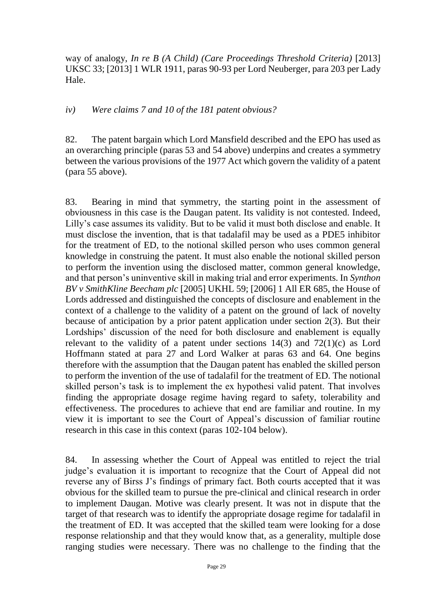way of analogy, *In re B (A Child) (Care Proceedings Threshold Criteria)* [2013] UKSC 33; [2013] 1 WLR 1911, paras 90-93 per Lord Neuberger, para 203 per Lady Hale.

#### *iv) Were claims 7 and 10 of the 181 patent obvious?*

82. The patent bargain which Lord Mansfield described and the EPO has used as an overarching principle (paras 53 and 54 above) underpins and creates a symmetry between the various provisions of the 1977 Act which govern the validity of a patent (para 55 above).

83. Bearing in mind that symmetry, the starting point in the assessment of obviousness in this case is the Daugan patent. Its validity is not contested. Indeed, Lilly's case assumes its validity. But to be valid it must both disclose and enable. It must disclose the invention, that is that tadalafil may be used as a PDE5 inhibitor for the treatment of ED, to the notional skilled person who uses common general knowledge in construing the patent. It must also enable the notional skilled person to perform the invention using the disclosed matter, common general knowledge, and that person's uninventive skill in making trial and error experiments. In *Synthon BV v SmithKline Beecham plc* [2005] UKHL 59; [2006] 1 All ER 685, the House of Lords addressed and distinguished the concepts of disclosure and enablement in the context of a challenge to the validity of a patent on the ground of lack of novelty because of anticipation by a prior patent application under section 2(3). But their Lordships' discussion of the need for both disclosure and enablement is equally relevant to the validity of a patent under sections  $14(3)$  and  $72(1)(c)$  as Lord Hoffmann stated at para 27 and Lord Walker at paras 63 and 64. One begins therefore with the assumption that the Daugan patent has enabled the skilled person to perform the invention of the use of tadalafil for the treatment of ED. The notional skilled person's task is to implement the ex hypothesi valid patent. That involves finding the appropriate dosage regime having regard to safety, tolerability and effectiveness. The procedures to achieve that end are familiar and routine. In my view it is important to see the Court of Appeal's discussion of familiar routine research in this case in this context (paras 102-104 below).

84. In assessing whether the Court of Appeal was entitled to reject the trial judge's evaluation it is important to recognize that the Court of Appeal did not reverse any of Birss J's findings of primary fact. Both courts accepted that it was obvious for the skilled team to pursue the pre-clinical and clinical research in order to implement Daugan. Motive was clearly present. It was not in dispute that the target of that research was to identify the appropriate dosage regime for tadalafil in the treatment of ED. It was accepted that the skilled team were looking for a dose response relationship and that they would know that, as a generality, multiple dose ranging studies were necessary. There was no challenge to the finding that the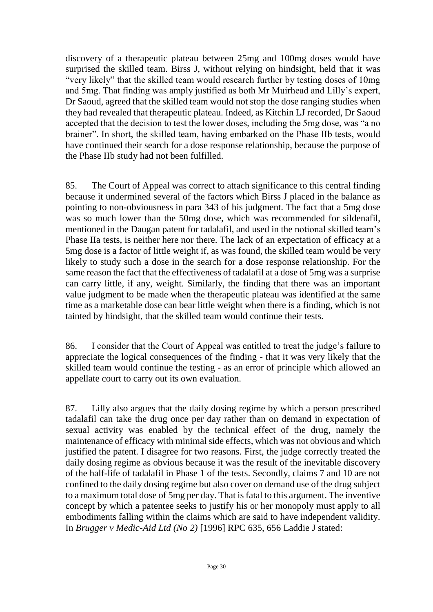discovery of a therapeutic plateau between 25mg and 100mg doses would have surprised the skilled team. Birss J, without relying on hindsight, held that it was "very likely" that the skilled team would research further by testing doses of 10mg and 5mg. That finding was amply justified as both Mr Muirhead and Lilly's expert, Dr Saoud, agreed that the skilled team would not stop the dose ranging studies when they had revealed that therapeutic plateau. Indeed, as Kitchin LJ recorded, Dr Saoud accepted that the decision to test the lower doses, including the 5mg dose, was "a no brainer". In short, the skilled team, having embarked on the Phase IIb tests, would have continued their search for a dose response relationship, because the purpose of the Phase IIb study had not been fulfilled.

85. The Court of Appeal was correct to attach significance to this central finding because it undermined several of the factors which Birss J placed in the balance as pointing to non-obviousness in para 343 of his judgment. The fact that a 5mg dose was so much lower than the 50mg dose, which was recommended for sildenafil, mentioned in the Daugan patent for tadalafil, and used in the notional skilled team's Phase IIa tests, is neither here nor there. The lack of an expectation of efficacy at a 5mg dose is a factor of little weight if, as was found, the skilled team would be very likely to study such a dose in the search for a dose response relationship. For the same reason the fact that the effectiveness of tadalafil at a dose of 5mg was a surprise can carry little, if any, weight. Similarly, the finding that there was an important value judgment to be made when the therapeutic plateau was identified at the same time as a marketable dose can bear little weight when there is a finding, which is not tainted by hindsight, that the skilled team would continue their tests.

86. I consider that the Court of Appeal was entitled to treat the judge's failure to appreciate the logical consequences of the finding - that it was very likely that the skilled team would continue the testing - as an error of principle which allowed an appellate court to carry out its own evaluation.

87. Lilly also argues that the daily dosing regime by which a person prescribed tadalafil can take the drug once per day rather than on demand in expectation of sexual activity was enabled by the technical effect of the drug, namely the maintenance of efficacy with minimal side effects, which was not obvious and which justified the patent. I disagree for two reasons. First, the judge correctly treated the daily dosing regime as obvious because it was the result of the inevitable discovery of the half-life of tadalafil in Phase 1 of the tests. Secondly, claims 7 and 10 are not confined to the daily dosing regime but also cover on demand use of the drug subject to a maximum total dose of 5mg per day. That is fatal to this argument. The inventive concept by which a patentee seeks to justify his or her monopoly must apply to all embodiments falling within the claims which are said to have independent validity. In *Brugger v Medic-Aid Ltd (No 2)* [1996] RPC 635, 656 Laddie J stated: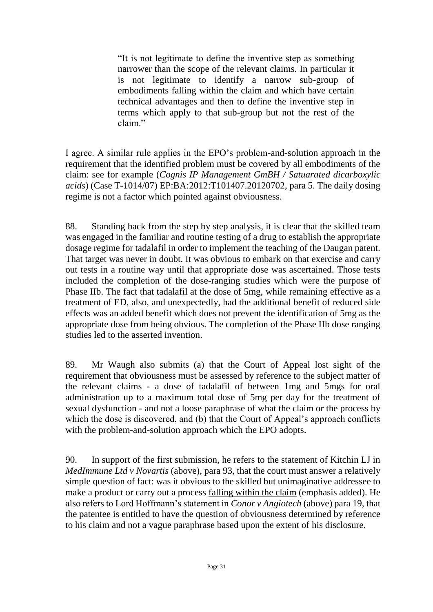"It is not legitimate to define the inventive step as something narrower than the scope of the relevant claims. In particular it is not legitimate to identify a narrow sub-group of embodiments falling within the claim and which have certain technical advantages and then to define the inventive step in terms which apply to that sub-group but not the rest of the claim."

I agree. A similar rule applies in the EPO's problem-and-solution approach in the requirement that the identified problem must be covered by all embodiments of the claim: see for example (*Cognis IP Management GmBH / Satuarated dicarboxylic acids*) (Case T-1014/07) EP:BA:2012:T101407.20120702, para 5. The daily dosing regime is not a factor which pointed against obviousness.

88. Standing back from the step by step analysis, it is clear that the skilled team was engaged in the familiar and routine testing of a drug to establish the appropriate dosage regime for tadalafil in order to implement the teaching of the Daugan patent. That target was never in doubt. It was obvious to embark on that exercise and carry out tests in a routine way until that appropriate dose was ascertained. Those tests included the completion of the dose-ranging studies which were the purpose of Phase IIb. The fact that tadalafil at the dose of 5mg, while remaining effective as a treatment of ED, also, and unexpectedly, had the additional benefit of reduced side effects was an added benefit which does not prevent the identification of 5mg as the appropriate dose from being obvious. The completion of the Phase IIb dose ranging studies led to the asserted invention.

89. Mr Waugh also submits (a) that the Court of Appeal lost sight of the requirement that obviousness must be assessed by reference to the subject matter of the relevant claims - a dose of tadalafil of between 1mg and 5mgs for oral administration up to a maximum total dose of 5mg per day for the treatment of sexual dysfunction - and not a loose paraphrase of what the claim or the process by which the dose is discovered, and (b) that the Court of Appeal's approach conflicts with the problem-and-solution approach which the EPO adopts.

90. In support of the first submission, he refers to the statement of Kitchin LJ in *MedImmune Ltd v Novartis* (above), para 93, that the court must answer a relatively simple question of fact: was it obvious to the skilled but unimaginative addressee to make a product or carry out a process falling within the claim (emphasis added). He also refers to Lord Hoffmann's statement in *Conor v Angiotech* (above) para 19, that the patentee is entitled to have the question of obviousness determined by reference to his claim and not a vague paraphrase based upon the extent of his disclosure.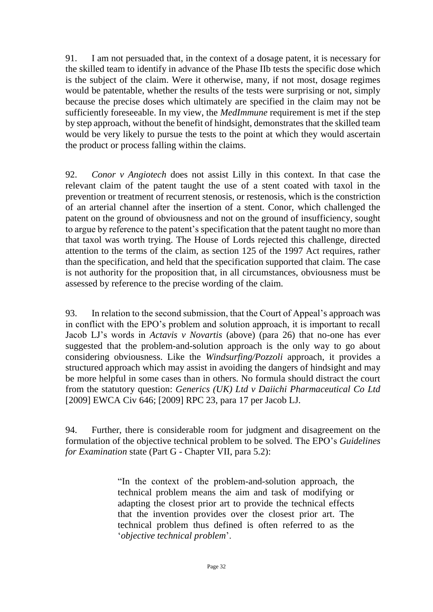91. I am not persuaded that, in the context of a dosage patent, it is necessary for the skilled team to identify in advance of the Phase IIb tests the specific dose which is the subject of the claim. Were it otherwise, many, if not most, dosage regimes would be patentable, whether the results of the tests were surprising or not, simply because the precise doses which ultimately are specified in the claim may not be sufficiently foreseeable. In my view, the *MedImmune* requirement is met if the step by step approach, without the benefit of hindsight, demonstrates that the skilled team would be very likely to pursue the tests to the point at which they would ascertain the product or process falling within the claims.

92. *Conor v Angiotech* does not assist Lilly in this context. In that case the relevant claim of the patent taught the use of a stent coated with taxol in the prevention or treatment of recurrent stenosis, or restenosis, which is the constriction of an arterial channel after the insertion of a stent. Conor, which challenged the patent on the ground of obviousness and not on the ground of insufficiency, sought to argue by reference to the patent's specification that the patent taught no more than that taxol was worth trying. The House of Lords rejected this challenge, directed attention to the terms of the claim, as section 125 of the 1997 Act requires, rather than the specification, and held that the specification supported that claim. The case is not authority for the proposition that, in all circumstances, obviousness must be assessed by reference to the precise wording of the claim.

93. In relation to the second submission, that the Court of Appeal's approach was in conflict with the EPO's problem and solution approach, it is important to recall Jacob LJ's words in *Actavis v Novartis* (above) (para 26) that no-one has ever suggested that the problem-and-solution approach is the only way to go about considering obviousness. Like the *Windsurfing/Pozzoli* approach, it provides a structured approach which may assist in avoiding the dangers of hindsight and may be more helpful in some cases than in others. No formula should distract the court from the statutory question: *Generics (UK) Ltd v Daiichi Pharmaceutical Co Ltd* [2009] EWCA Civ 646; [2009] RPC 23, para 17 per Jacob LJ.

94. Further, there is considerable room for judgment and disagreement on the formulation of the objective technical problem to be solved. The EPO's *Guidelines for Examination* state (Part G - Chapter VII, para 5.2):

> "In the context of the problem-and-solution approach, the technical problem means the aim and task of modifying or adapting the closest prior art to provide the technical effects that the invention provides over the closest prior art. The technical problem thus defined is often referred to as the '*objective technical problem*'.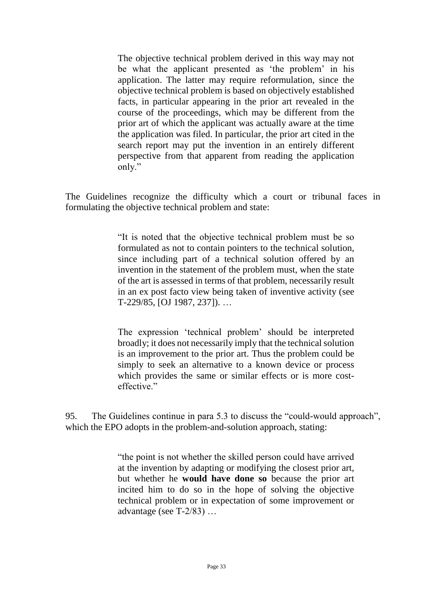The objective technical problem derived in this way may not be what the applicant presented as 'the problem' in his application. The latter may require reformulation, since the objective technical problem is based on objectively established facts, in particular appearing in the prior art revealed in the course of the proceedings, which may be different from the prior art of which the applicant was actually aware at the time the application was filed. In particular, the prior art cited in the search report may put the invention in an entirely different perspective from that apparent from reading the application only."

The Guidelines recognize the difficulty which a court or tribunal faces in formulating the objective technical problem and state:

> "It is noted that the objective technical problem must be so formulated as not to contain pointers to the technical solution, since including part of a technical solution offered by an invention in the statement of the problem must, when the state of the art is assessed in terms of that problem, necessarily result in an ex post facto view being taken of inventive activity (see T-229/85, [OJ 1987, 237]). …

> The expression 'technical problem' should be interpreted broadly; it does not necessarily imply that the technical solution is an improvement to the prior art. Thus the problem could be simply to seek an alternative to a known device or process which provides the same or similar effects or is more costeffective."

95. The Guidelines continue in para 5.3 to discuss the "could-would approach", which the EPO adopts in the problem-and-solution approach, stating:

> "the point is not whether the skilled person could have arrived at the invention by adapting or modifying the closest prior art, but whether he **would have done so** because the prior art incited him to do so in the hope of solving the objective technical problem or in expectation of some improvement or advantage (see T-2/83) …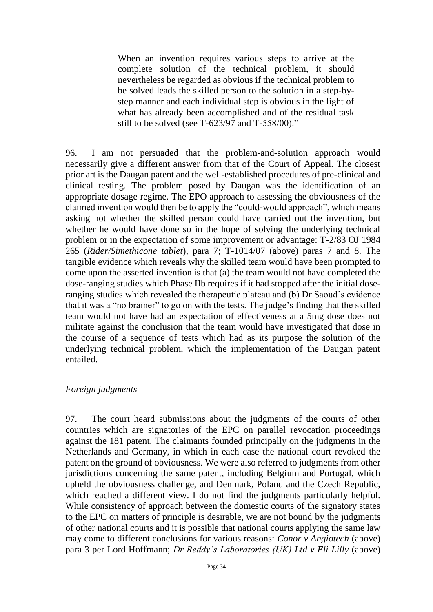When an invention requires various steps to arrive at the complete solution of the technical problem, it should nevertheless be regarded as obvious if the technical problem to be solved leads the skilled person to the solution in a step-bystep manner and each individual step is obvious in the light of what has already been accomplished and of the residual task still to be solved (see T-623/97 and T-558/00)."

96. I am not persuaded that the problem-and-solution approach would necessarily give a different answer from that of the Court of Appeal. The closest prior art is the Daugan patent and the well-established procedures of pre-clinical and clinical testing. The problem posed by Daugan was the identification of an appropriate dosage regime. The EPO approach to assessing the obviousness of the claimed invention would then be to apply the "could-would approach", which means asking not whether the skilled person could have carried out the invention, but whether he would have done so in the hope of solving the underlying technical problem or in the expectation of some improvement or advantage: T-2/83 OJ 1984 265 (*Rider/Simethicone tablet*), para 7; T-1014/07 (above) paras 7 and 8. The tangible evidence which reveals why the skilled team would have been prompted to come upon the asserted invention is that (a) the team would not have completed the dose-ranging studies which Phase IIb requires if it had stopped after the initial doseranging studies which revealed the therapeutic plateau and (b) Dr Saoud's evidence that it was a "no brainer" to go on with the tests. The judge's finding that the skilled team would not have had an expectation of effectiveness at a 5mg dose does not militate against the conclusion that the team would have investigated that dose in the course of a sequence of tests which had as its purpose the solution of the underlying technical problem, which the implementation of the Daugan patent entailed.

#### *Foreign judgments*

97. The court heard submissions about the judgments of the courts of other countries which are signatories of the EPC on parallel revocation proceedings against the 181 patent. The claimants founded principally on the judgments in the Netherlands and Germany, in which in each case the national court revoked the patent on the ground of obviousness. We were also referred to judgments from other jurisdictions concerning the same patent, including Belgium and Portugal, which upheld the obviousness challenge, and Denmark, Poland and the Czech Republic, which reached a different view. I do not find the judgments particularly helpful. While consistency of approach between the domestic courts of the signatory states to the EPC on matters of principle is desirable, we are not bound by the judgments of other national courts and it is possible that national courts applying the same law may come to different conclusions for various reasons: *Conor v Angiotech* (above) para 3 per Lord Hoffmann; *Dr Reddy's Laboratories (UK) Ltd v Eli Lilly* (above)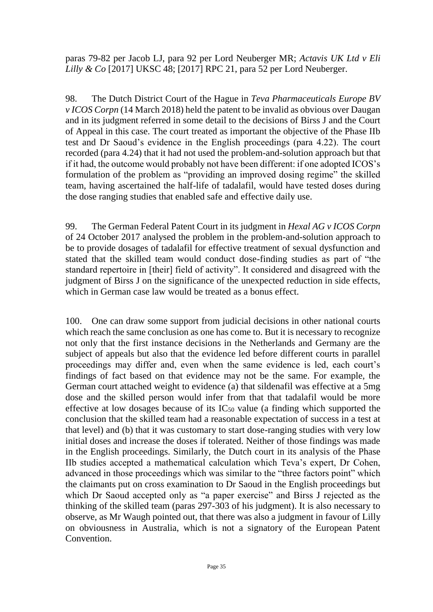paras 79-82 per Jacob LJ, para 92 per Lord Neuberger MR; *Actavis UK Ltd v Eli Lilly & Co* [2017] UKSC 48; [2017] RPC 21, para 52 per Lord Neuberger.

98. The Dutch District Court of the Hague in *Teva Pharmaceuticals Europe BV v ICOS Corpn* (14 March 2018) held the patent to be invalid as obvious over Daugan and in its judgment referred in some detail to the decisions of Birss J and the Court of Appeal in this case. The court treated as important the objective of the Phase IIb test and Dr Saoud's evidence in the English proceedings (para 4.22). The court recorded (para 4.24) that it had not used the problem-and-solution approach but that if it had, the outcome would probably not have been different: if one adopted ICOS's formulation of the problem as "providing an improved dosing regime" the skilled team, having ascertained the half-life of tadalafil, would have tested doses during the dose ranging studies that enabled safe and effective daily use.

99. The German Federal Patent Court in its judgment in *Hexal AG v ICOS Corpn* of 24 October 2017 analysed the problem in the problem-and-solution approach to be to provide dosages of tadalafil for effective treatment of sexual dysfunction and stated that the skilled team would conduct dose-finding studies as part of "the standard repertoire in [their] field of activity". It considered and disagreed with the judgment of Birss J on the significance of the unexpected reduction in side effects, which in German case law would be treated as a bonus effect.

100. One can draw some support from judicial decisions in other national courts which reach the same conclusion as one has come to. But it is necessary to recognize not only that the first instance decisions in the Netherlands and Germany are the subject of appeals but also that the evidence led before different courts in parallel proceedings may differ and, even when the same evidence is led, each court's findings of fact based on that evidence may not be the same. For example, the German court attached weight to evidence (a) that sildenafil was effective at a 5mg dose and the skilled person would infer from that that tadalafil would be more effective at low dosages because of its  $IC_{50}$  value (a finding which supported the conclusion that the skilled team had a reasonable expectation of success in a test at that level) and (b) that it was customary to start dose-ranging studies with very low initial doses and increase the doses if tolerated. Neither of those findings was made in the English proceedings. Similarly, the Dutch court in its analysis of the Phase IIb studies accepted a mathematical calculation which Teva's expert, Dr Cohen, advanced in those proceedings which was similar to the "three factors point" which the claimants put on cross examination to Dr Saoud in the English proceedings but which Dr Saoud accepted only as "a paper exercise" and Birss J rejected as the thinking of the skilled team (paras 297-303 of his judgment). It is also necessary to observe, as Mr Waugh pointed out, that there was also a judgment in favour of Lilly on obviousness in Australia, which is not a signatory of the European Patent Convention.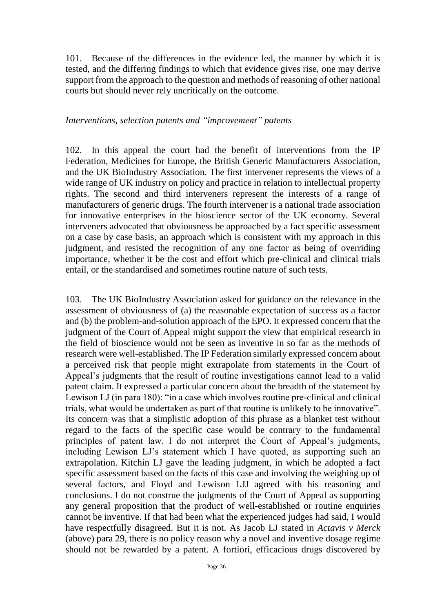101. Because of the differences in the evidence led, the manner by which it is tested, and the differing findings to which that evidence gives rise, one may derive support from the approach to the question and methods of reasoning of other national courts but should never rely uncritically on the outcome.

#### *Interventions, selection patents and "improvement" patents*

102. In this appeal the court had the benefit of interventions from the IP Federation, Medicines for Europe, the British Generic Manufacturers Association, and the UK BioIndustry Association. The first intervener represents the views of a wide range of UK industry on policy and practice in relation to intellectual property rights. The second and third interveners represent the interests of a range of manufacturers of generic drugs. The fourth intervener is a national trade association for innovative enterprises in the bioscience sector of the UK economy. Several interveners advocated that obviousness be approached by a fact specific assessment on a case by case basis, an approach which is consistent with my approach in this judgment, and resisted the recognition of any one factor as being of overriding importance, whether it be the cost and effort which pre-clinical and clinical trials entail, or the standardised and sometimes routine nature of such tests.

103. The UK BioIndustry Association asked for guidance on the relevance in the assessment of obviousness of (a) the reasonable expectation of success as a factor and (b) the problem-and-solution approach of the EPO. It expressed concern that the judgment of the Court of Appeal might support the view that empirical research in the field of bioscience would not be seen as inventive in so far as the methods of research were well-established. The IP Federation similarly expressed concern about a perceived risk that people might extrapolate from statements in the Court of Appeal's judgments that the result of routine investigations cannot lead to a valid patent claim. It expressed a particular concern about the breadth of the statement by Lewison LJ (in para 180): "in a case which involves routine pre-clinical and clinical trials, what would be undertaken as part of that routine is unlikely to be innovative". Its concern was that a simplistic adoption of this phrase as a blanket test without regard to the facts of the specific case would be contrary to the fundamental principles of patent law. I do not interpret the Court of Appeal's judgments, including Lewison LJ's statement which I have quoted, as supporting such an extrapolation. Kitchin LJ gave the leading judgment, in which he adopted a fact specific assessment based on the facts of this case and involving the weighing up of several factors, and Floyd and Lewison LJJ agreed with his reasoning and conclusions. I do not construe the judgments of the Court of Appeal as supporting any general proposition that the product of well-established or routine enquiries cannot be inventive. If that had been what the experienced judges had said, I would have respectfully disagreed. But it is not. As Jacob LJ stated in *Actavis v Merck* (above) para 29, there is no policy reason why a novel and inventive dosage regime should not be rewarded by a patent. A fortiori, efficacious drugs discovered by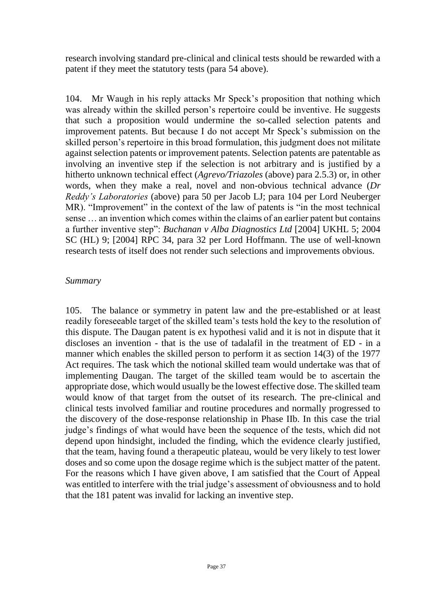research involving standard pre-clinical and clinical tests should be rewarded with a patent if they meet the statutory tests (para 54 above).

104. Mr Waugh in his reply attacks Mr Speck's proposition that nothing which was already within the skilled person's repertoire could be inventive. He suggests that such a proposition would undermine the so-called selection patents and improvement patents. But because I do not accept Mr Speck's submission on the skilled person's repertoire in this broad formulation, this judgment does not militate against selection patents or improvement patents. Selection patents are patentable as involving an inventive step if the selection is not arbitrary and is justified by a hitherto unknown technical effect (*Agrevo/Triazoles* (above) para 2.5.3) or, in other words, when they make a real, novel and non-obvious technical advance (*Dr Reddy's Laboratories* (above) para 50 per Jacob LJ; para 104 per Lord Neuberger MR). "Improvement" in the context of the law of patents is "in the most technical sense … an invention which comes within the claims of an earlier patent but contains a further inventive step": *Buchanan v Alba Diagnostics Ltd* [2004] UKHL 5; 2004 SC (HL) 9; [2004] RPC 34, para 32 per Lord Hoffmann. The use of well-known research tests of itself does not render such selections and improvements obvious.

#### *Summary*

105. The balance or symmetry in patent law and the pre-established or at least readily foreseeable target of the skilled team's tests hold the key to the resolution of this dispute. The Daugan patent is ex hypothesi valid and it is not in dispute that it discloses an invention - that is the use of tadalafil in the treatment of ED - in a manner which enables the skilled person to perform it as section 14(3) of the 1977 Act requires. The task which the notional skilled team would undertake was that of implementing Daugan. The target of the skilled team would be to ascertain the appropriate dose, which would usually be the lowest effective dose. The skilled team would know of that target from the outset of its research. The pre-clinical and clinical tests involved familiar and routine procedures and normally progressed to the discovery of the dose-response relationship in Phase IIb. In this case the trial judge's findings of what would have been the sequence of the tests, which did not depend upon hindsight, included the finding, which the evidence clearly justified, that the team, having found a therapeutic plateau, would be very likely to test lower doses and so come upon the dosage regime which is the subject matter of the patent. For the reasons which I have given above, I am satisfied that the Court of Appeal was entitled to interfere with the trial judge's assessment of obviousness and to hold that the 181 patent was invalid for lacking an inventive step.